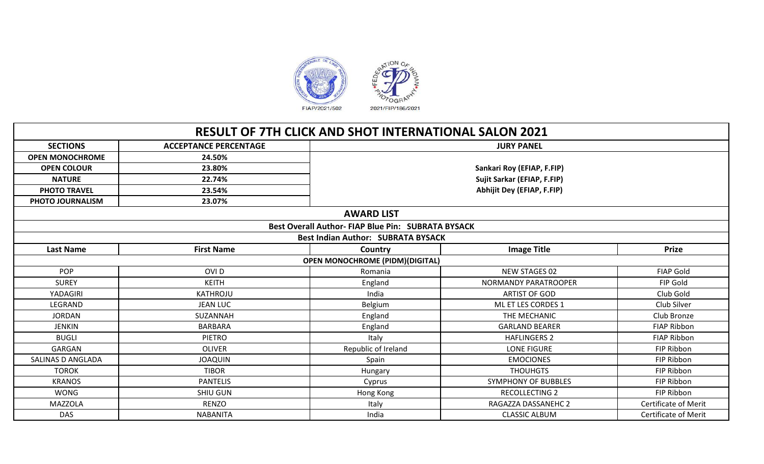

|                        |                              | <b>RESULT OF 7TH CLICK AND SHOT INTERNATIONAL SALON 2021</b> |                             |                             |
|------------------------|------------------------------|--------------------------------------------------------------|-----------------------------|-----------------------------|
| <b>SECTIONS</b>        | <b>ACCEPTANCE PERCENTAGE</b> |                                                              | <b>JURY PANEL</b>           |                             |
| <b>OPEN MONOCHROME</b> | 24.50%                       |                                                              |                             |                             |
| <b>OPEN COLOUR</b>     | 23.80%                       |                                                              | Sankari Roy (EFIAP, F.FIP)  |                             |
| <b>NATURE</b>          | 22.74%                       |                                                              | Sujit Sarkar (EFIAP, F.FIP) |                             |
| <b>PHOTO TRAVEL</b>    | 23.54%                       |                                                              | Abhijit Dey (EFIAP, F.FIP)  |                             |
| PHOTO JOURNALISM       | 23.07%                       |                                                              |                             |                             |
|                        |                              | <b>AWARD LIST</b>                                            |                             |                             |
|                        |                              | Best Overall Author-FIAP Blue Pin: SUBRATA BYSACK            |                             |                             |
|                        |                              | <b>Best Indian Author: SUBRATA BYSACK</b>                    |                             |                             |
| <b>Last Name</b>       | <b>First Name</b>            | Country                                                      | <b>Image Title</b>          | <b>Prize</b>                |
|                        |                              | <b>OPEN MONOCHROME (PIDM)(DIGITAL)</b>                       |                             |                             |
| <b>POP</b>             | OVI <sub>D</sub>             | Romania                                                      | NEW STAGES 02               | <b>FIAP Gold</b>            |
| <b>SUREY</b>           | <b>KEITH</b>                 | England                                                      | NORMANDY PARATROOPER        | FIP Gold                    |
| YADAGIRI               | KATHROJU                     | India                                                        | <b>ARTIST OF GOD</b>        | Club Gold                   |
| LEGRAND                | <b>JEAN LUC</b>              | Belgium                                                      | ML ET LES CORDES 1          | Club Silver                 |
| <b>JORDAN</b>          | SUZANNAH                     | England                                                      | THE MECHANIC                | Club Bronze                 |
| <b>JENKIN</b>          | <b>BARBARA</b>               | England                                                      | <b>GARLAND BEARER</b>       | <b>FIAP Ribbon</b>          |
| <b>BUGLI</b>           | <b>PIETRO</b>                | Italy                                                        | <b>HAFLINGERS 2</b>         | FIAP Ribbon                 |
| GARGAN                 | <b>OLIVER</b>                | Republic of Ireland                                          | <b>LONE FIGURE</b>          | FIP Ribbon                  |
| SALINAS D ANGLADA      | <b>JOAQUIN</b>               | Spain                                                        | <b>EMOCIONES</b>            | FIP Ribbon                  |
| <b>TOROK</b>           | <b>TIBOR</b>                 | Hungary                                                      | <b>THOUHGTS</b>             | FIP Ribbon                  |
| <b>KRANOS</b>          | <b>PANTELIS</b>              | Cyprus                                                       | <b>SYMPHONY OF BUBBLES</b>  | FIP Ribbon                  |
| <b>WONG</b>            | <b>SHIU GUN</b>              | Hong Kong                                                    | <b>RECOLLECTING 2</b>       | FIP Ribbon                  |
| <b>MAZZOLA</b>         | <b>RENZO</b>                 | Italy                                                        | RAGAZZA DASSANEHC 2         | <b>Certificate of Merit</b> |
| <b>DAS</b>             | <b>NABANITA</b>              | India                                                        | <b>CLASSIC ALBUM</b>        | <b>Certificate of Merit</b> |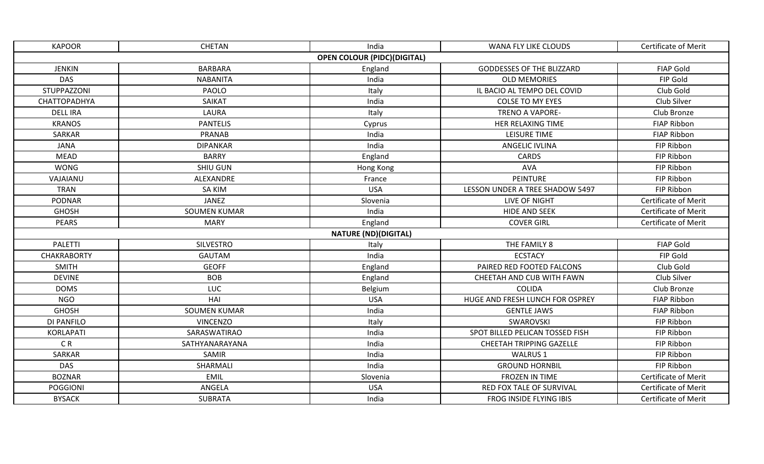| <b>KAPOOR</b>      | <b>CHETAN</b>       | India                              | WANA FLY LIKE CLOUDS             | <b>Certificate of Merit</b> |
|--------------------|---------------------|------------------------------------|----------------------------------|-----------------------------|
|                    |                     | <b>OPEN COLOUR (PIDC)(DIGITAL)</b> |                                  |                             |
| <b>JENKIN</b>      | <b>BARBARA</b>      | England                            | <b>GODDESSES OF THE BLIZZARD</b> | <b>FIAP Gold</b>            |
| <b>DAS</b>         | <b>NABANITA</b>     | India                              | <b>OLD MEMORIES</b>              | FIP Gold                    |
| STUPPAZZONI        | PAOLO               | Italy                              | IL BACIO AL TEMPO DEL COVID      | Club Gold                   |
| CHATTOPADHYA       | SAIKAT              | India                              | <b>COLSE TO MY EYES</b>          | Club Silver                 |
| <b>DELL IRA</b>    | LAURA               | Italy                              | <b>TRENO A VAPORE-</b>           | Club Bronze                 |
| <b>KRANOS</b>      | <b>PANTELIS</b>     | Cyprus                             | HER RELAXING TIME                | FIAP Ribbon                 |
| <b>SARKAR</b>      | PRANAB              | India                              | <b>LEISURE TIME</b>              | <b>FIAP Ribbon</b>          |
| <b>JANA</b>        | <b>DIPANKAR</b>     | India                              | <b>ANGELIC IVLINA</b>            | FIP Ribbon                  |
| <b>MEAD</b>        | <b>BARRY</b>        | England                            | <b>CARDS</b>                     | FIP Ribbon                  |
| <b>WONG</b>        | SHIU GUN            | Hong Kong                          | <b>AVA</b>                       | FIP Ribbon                  |
| VAJAIANU           | ALEXANDRE           | France                             | PEINTURE                         | FIP Ribbon                  |
| <b>TRAN</b>        | <b>SA KIM</b>       | <b>USA</b>                         | LESSON UNDER A TREE SHADOW 5497  | FIP Ribbon                  |
| <b>PODNAR</b>      | <b>JANEZ</b>        | Slovenia                           | LIVE OF NIGHT                    | Certificate of Merit        |
| <b>GHOSH</b>       | <b>SOUMEN KUMAR</b> | India                              | <b>HIDE AND SEEK</b>             | <b>Certificate of Merit</b> |
| <b>PEARS</b>       | <b>MARY</b>         | England                            | <b>COVER GIRL</b>                | Certificate of Merit        |
|                    |                     | <b>NATURE (ND)(DIGITAL)</b>        |                                  |                             |
| <b>PALETTI</b>     | <b>SILVESTRO</b>    | Italy                              | THE FAMILY 8                     | <b>FIAP Gold</b>            |
| <b>CHAKRABORTY</b> | <b>GAUTAM</b>       | India                              | <b>ECSTACY</b>                   | FIP Gold                    |
| <b>SMITH</b>       | <b>GEOFF</b>        | England                            | PAIRED RED FOOTED FALCONS        | Club Gold                   |
| <b>DEVINE</b>      | <b>BOB</b>          | England                            | CHEETAH AND CUB WITH FAWN        | Club Silver                 |
| <b>DOMS</b>        | LUC                 | Belgium                            | <b>COLIDA</b>                    | Club Bronze                 |
| <b>NGO</b>         | HAI                 | <b>USA</b>                         | HUGE AND FRESH LUNCH FOR OSPREY  | FIAP Ribbon                 |
| <b>GHOSH</b>       | <b>SOUMEN KUMAR</b> | India                              | <b>GENTLE JAWS</b>               | <b>FIAP Ribbon</b>          |
| DI PANFILO         | <b>VINCENZO</b>     | Italy                              | SWAROVSKI                        | FIP Ribbon                  |
| <b>KORLAPATI</b>   | SARASWATIRAO        | India                              | SPOT BILLED PELICAN TOSSED FISH  | FIP Ribbon                  |
| C <sub>R</sub>     | SATHYANARAYANA      | India                              | CHEETAH TRIPPING GAZELLE         | FIP Ribbon                  |
| SARKAR             | SAMIR               | India                              | WALRUS 1                         | FIP Ribbon                  |
| <b>DAS</b>         | SHARMALI            | India                              | <b>GROUND HORNBIL</b>            | FIP Ribbon                  |
| <b>BOZNAR</b>      | EMIL                | Slovenia                           | FROZEN IN TIME                   | Certificate of Merit        |
| <b>POGGIONI</b>    | ANGELA              | <b>USA</b>                         | RED FOX TALE OF SURVIVAL         | <b>Certificate of Merit</b> |
| <b>BYSACK</b>      | <b>SUBRATA</b>      | India                              | FROG INSIDE FLYING IBIS          | <b>Certificate of Merit</b> |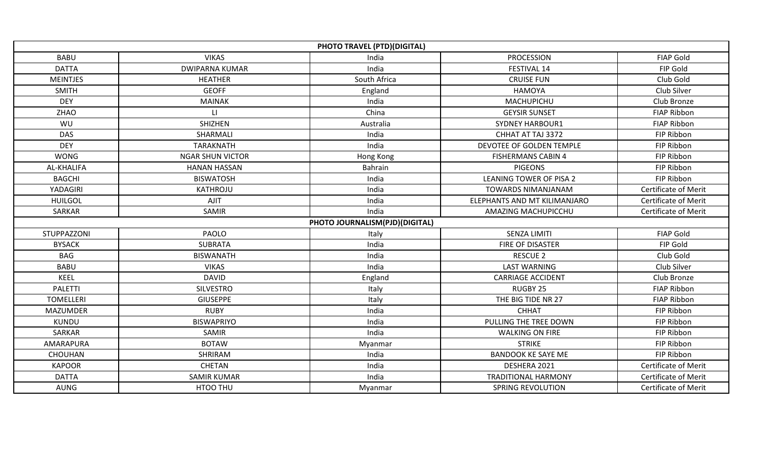|                    |                         | PHOTO TRAVEL (PTD)(DIGITAL)    |                                |                             |
|--------------------|-------------------------|--------------------------------|--------------------------------|-----------------------------|
| <b>BABU</b>        | <b>VIKAS</b>            | India                          | <b>PROCESSION</b>              | <b>FIAP Gold</b>            |
| <b>DATTA</b>       | <b>DWIPARNA KUMAR</b>   | India                          | FESTIVAL 14                    | FIP Gold                    |
| <b>MEINTJES</b>    | <b>HEATHER</b>          | South Africa                   | <b>CRUISE FUN</b>              | Club Gold                   |
| <b>SMITH</b>       | <b>GEOFF</b>            | England                        | <b>HAMOYA</b>                  | Club Silver                 |
| <b>DEY</b>         | <b>MAINAK</b>           | India                          | MACHUPICHU                     | Club Bronze                 |
| <b>ZHAO</b>        | $\Box$                  | China                          | <b>GEYSIR SUNSET</b>           | <b>FIAP Ribbon</b>          |
| WU                 | SHIZHEN                 | Australia                      | <b>SYDNEY HARBOUR1</b>         | <b>FIAP Ribbon</b>          |
| <b>DAS</b>         | SHARMALI                | India                          | CHHAT AT TAJ 3372              | FIP Ribbon                  |
| <b>DEY</b>         | <b>TARAKNATH</b>        | India                          | DEVOTEE OF GOLDEN TEMPLE       | FIP Ribbon                  |
| <b>WONG</b>        | <b>NGAR SHUN VICTOR</b> | Hong Kong                      | <b>FISHERMANS CABIN 4</b>      | FIP Ribbon                  |
| AL-KHALIFA         | <b>HANAN HASSAN</b>     | <b>Bahrain</b>                 | <b>PIGEONS</b>                 | FIP Ribbon                  |
| <b>BAGCHI</b>      | <b>BISWATOSH</b>        | India                          | <b>LEANING TOWER OF PISA 2</b> | FIP Ribbon                  |
| YADAGIRI           | <b>KATHROJU</b>         | India                          | <b>TOWARDS NIMANJANAM</b>      | Certificate of Merit        |
| <b>HUILGOL</b>     | <b>AJIT</b>             | India                          | ELEPHANTS AND MT KILIMANJARO   | <b>Certificate of Merit</b> |
| SARKAR             | SAMIR                   | India                          | AMAZING MACHUPICCHU            | <b>Certificate of Merit</b> |
|                    |                         | PHOTO JOURNALISM(PJD)(DIGITAL) |                                |                             |
| <b>STUPPAZZONI</b> | PAOLO                   | Italy                          | <b>SENZA LIMITI</b>            | <b>FIAP Gold</b>            |
| <b>BYSACK</b>      | <b>SUBRATA</b>          | India                          | FIRE OF DISASTER               | FIP Gold                    |
| <b>BAG</b>         | <b>BISWANATH</b>        | India                          | <b>RESCUE 2</b>                | Club Gold                   |
| <b>BABU</b>        | <b>VIKAS</b>            | India                          | <b>LAST WARNING</b>            | Club Silver                 |
| <b>KEEL</b>        | <b>DAVID</b>            | England                        | <b>CARRIAGE ACCIDENT</b>       | Club Bronze                 |
| <b>PALETTI</b>     | <b>SILVESTRO</b>        | Italy                          | RUGBY 25                       | <b>FIAP Ribbon</b>          |
| <b>TOMELLERI</b>   | <b>GIUSEPPE</b>         | Italy                          | THE BIG TIDE NR 27             | <b>FIAP Ribbon</b>          |
| <b>MAZUMDER</b>    | <b>RUBY</b>             | India                          | <b>CHHAT</b>                   | FIP Ribbon                  |
| <b>KUNDU</b>       | <b>BISWAPRIYO</b>       | India                          | PULLING THE TREE DOWN          | FIP Ribbon                  |
| SARKAR             | <b>SAMIR</b>            | India                          | <b>WALKING ON FIRE</b>         | FIP Ribbon                  |
| AMARAPURA          | <b>BOTAW</b>            | Myanmar                        | <b>STRIKE</b>                  | FIP Ribbon                  |
| <b>CHOUHAN</b>     | SHRIRAM                 | India                          | <b>BANDOOK KE SAYE ME</b>      | FIP Ribbon                  |
| <b>KAPOOR</b>      | <b>CHETAN</b>           | India                          | DESHERA 2021                   | Certificate of Merit        |
| <b>DATTA</b>       | <b>SAMIR KUMAR</b>      | India                          | <b>TRADITIONAL HARMONY</b>     | <b>Certificate of Merit</b> |
| <b>AUNG</b>        | HTOO THU                | Myanmar                        | <b>SPRING REVOLUTION</b>       | <b>Certificate of Merit</b> |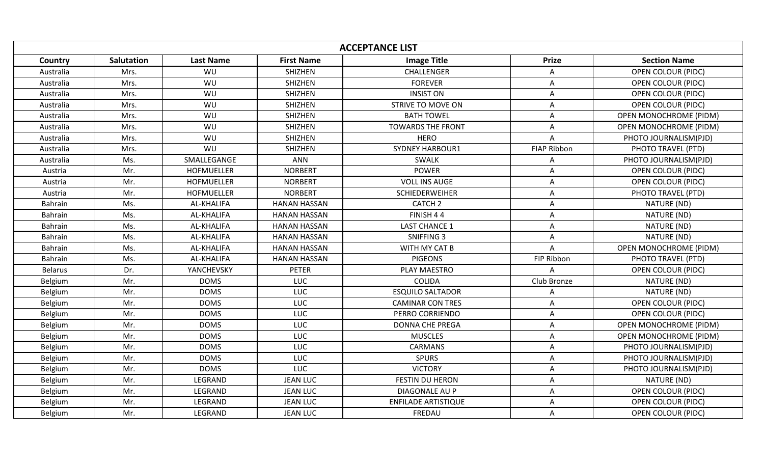| <b>Image Title</b><br><b>First Name</b><br><b>Section Name</b><br><b>Salutation</b><br><b>Last Name</b><br><b>Prize</b><br>Country<br>SHIZHEN<br>Australia<br>Mrs.<br>WU<br>CHALLENGER<br><b>OPEN COLOUR (PIDC)</b><br>A<br>Mrs.<br>WU<br>SHIZHEN<br><b>FOREVER</b><br><b>OPEN COLOUR (PIDC)</b><br>Australia<br>A<br>WU<br><b>SHIZHEN</b><br><b>INSIST ON</b><br><b>OPEN COLOUR (PIDC)</b><br>Mrs.<br>Australia<br>A<br>WU<br>SHIZHEN<br><b>OPEN COLOUR (PIDC)</b><br>Australia<br>Mrs.<br>STRIVE TO MOVE ON<br>A<br>SHIZHEN<br>Mrs.<br>WU<br><b>BATH TOWEL</b><br>Australia<br>A<br>OPEN MONOCHROME (PIDM)<br>SHIZHEN<br><b>TOWARDS THE FRONT</b><br>Australia<br>Mrs.<br>WU<br>A<br><b>OPEN MONOCHROME (PIDM)</b><br>WU<br>SHIZHEN<br>Australia<br>Mrs.<br><b>HERO</b><br>A<br>PHOTO JOURNALISM(PJD)<br>WU<br><b>SHIZHEN</b><br><b>SYDNEY HARBOUR1</b><br><b>FIAP Ribbon</b><br>PHOTO TRAVEL (PTD)<br>Australia<br>Mrs.<br>SMALLEGANGE<br>Ms.<br>ANN<br>SWALK<br>PHOTO JOURNALISM(PJD)<br>Australia<br>Α<br><b>NORBERT</b><br>POWER<br>Austria<br>Mr.<br>HOFMUELLER<br>A<br>OPEN COLOUR (PIDC)<br>Mr.<br><b>VOLL INS AUGE</b><br><b>HOFMUELLER</b><br><b>NORBERT</b><br><b>OPEN COLOUR (PIDC)</b><br>Austria<br>Α<br>Mr.<br><b>HOFMUELLER</b><br><b>NORBERT</b><br><b>SCHIEDERWEIHER</b><br>A<br>PHOTO TRAVEL (PTD)<br>Austria<br><b>HANAN HASSAN</b><br><b>Bahrain</b><br>Ms.<br>AL-KHALIFA<br>CATCH <sub>2</sub><br>A<br>NATURE (ND)<br>Ms.<br><b>AL-KHALIFA</b><br>FINISH 44<br>NATURE (ND)<br><b>HANAN HASSAN</b><br>A<br><b>Bahrain</b><br>Ms.<br>AL-KHALIFA<br><b>HANAN HASSAN</b><br><b>LAST CHANCE 1</b><br>NATURE (ND)<br><b>Bahrain</b><br>A<br>Ms.<br>AL-KHALIFA<br><b>HANAN HASSAN</b><br>SNIFFING 3<br>NATURE (ND)<br><b>Bahrain</b><br>A<br>Ms.<br><b>HANAN HASSAN</b><br>WITH MY CAT B<br><b>Bahrain</b><br>AL-KHALIFA<br>A<br>OPEN MONOCHROME (PIDM)<br><b>PIGEONS</b><br>Ms.<br>AL-KHALIFA<br><b>HANAN HASSAN</b><br>FIP Ribbon<br>PHOTO TRAVEL (PTD)<br><b>Bahrain</b><br><b>Belarus</b><br>Dr.<br>YANCHEVSKY<br>PETER<br>PLAY MAESTRO<br><b>OPEN COLOUR (PIDC)</b><br>A<br>Mr.<br><b>DOMS</b><br>LUC<br><b>COLIDA</b><br>Club Bronze<br>NATURE (ND)<br>Belgium<br><b>DOMS</b><br><b>ESQUILO SALTADOR</b><br>Mr.<br>LUC<br>NATURE (ND)<br>Belgium<br>A<br><b>DOMS</b><br>LUC<br>Belgium<br>Mr.<br><b>CAMINAR CON TRES</b><br><b>OPEN COLOUR (PIDC)</b><br>A<br>Mr.<br><b>DOMS</b><br>LUC<br>Belgium<br>PERRO CORRIENDO<br>$\mathsf{A}$<br><b>OPEN COLOUR (PIDC)</b><br>Mr.<br><b>DOMS</b><br>LUC<br><b>DONNA CHE PREGA</b><br>OPEN MONOCHROME (PIDM)<br>Belgium<br>A<br><b>DOMS</b><br>Belgium<br>Mr.<br>LUC<br><b>MUSCLES</b><br>A<br><b>OPEN MONOCHROME (PIDM)</b><br><b>DOMS</b><br><b>CARMANS</b><br>Mr.<br>LUC<br>PHOTO JOURNALISM(PJD)<br>Belgium<br>A<br>Mr.<br><b>DOMS</b><br><b>SPURS</b><br>LUC<br>PHOTO JOURNALISM(PJD)<br>Belgium<br>A<br><b>DOMS</b><br>LUC<br><b>VICTORY</b><br>Belgium<br>Mr.<br>A<br>PHOTO JOURNALISM(PJD)<br>Mr.<br>LEGRAND<br><b>JEAN LUC</b><br>Belgium<br>FESTIN DU HERON<br>NATURE (ND)<br>A<br>Mr.<br>LEGRAND<br><b>JEAN LUC</b><br>DIAGONALE AU P<br>A<br><b>OPEN COLOUR (PIDC)</b><br>Belgium<br>LEGRAND<br><b>JEAN LUC</b><br><b>ENFILADE ARTISTIQUE</b><br><b>OPEN COLOUR (PIDC)</b><br>Belgium<br>Mr.<br>A<br>Mr.<br>LEGRAND<br><b>JEAN LUC</b><br>FREDAU<br><b>OPEN COLOUR (PIDC)</b><br>Belgium<br>A |  |  | <b>ACCEPTANCE LIST</b> |  |
|------------------------------------------------------------------------------------------------------------------------------------------------------------------------------------------------------------------------------------------------------------------------------------------------------------------------------------------------------------------------------------------------------------------------------------------------------------------------------------------------------------------------------------------------------------------------------------------------------------------------------------------------------------------------------------------------------------------------------------------------------------------------------------------------------------------------------------------------------------------------------------------------------------------------------------------------------------------------------------------------------------------------------------------------------------------------------------------------------------------------------------------------------------------------------------------------------------------------------------------------------------------------------------------------------------------------------------------------------------------------------------------------------------------------------------------------------------------------------------------------------------------------------------------------------------------------------------------------------------------------------------------------------------------------------------------------------------------------------------------------------------------------------------------------------------------------------------------------------------------------------------------------------------------------------------------------------------------------------------------------------------------------------------------------------------------------------------------------------------------------------------------------------------------------------------------------------------------------------------------------------------------------------------------------------------------------------------------------------------------------------------------------------------------------------------------------------------------------------------------------------------------------------------------------------------------------------------------------------------------------------------------------------------------------------------------------------------------------------------------------------------------------------------------------------------------------------------------------------------------------------------------------------------------------------------------------------------------------------------------------------------------------------------------------------------------------------------------------------------------------------------------------------------------------------------------------------------------------------------------------------------------------------------------------------------------------------------------------------------------------|--|--|------------------------|--|
|                                                                                                                                                                                                                                                                                                                                                                                                                                                                                                                                                                                                                                                                                                                                                                                                                                                                                                                                                                                                                                                                                                                                                                                                                                                                                                                                                                                                                                                                                                                                                                                                                                                                                                                                                                                                                                                                                                                                                                                                                                                                                                                                                                                                                                                                                                                                                                                                                                                                                                                                                                                                                                                                                                                                                                                                                                                                                                                                                                                                                                                                                                                                                                                                                                                                                                                                                                        |  |  |                        |  |
|                                                                                                                                                                                                                                                                                                                                                                                                                                                                                                                                                                                                                                                                                                                                                                                                                                                                                                                                                                                                                                                                                                                                                                                                                                                                                                                                                                                                                                                                                                                                                                                                                                                                                                                                                                                                                                                                                                                                                                                                                                                                                                                                                                                                                                                                                                                                                                                                                                                                                                                                                                                                                                                                                                                                                                                                                                                                                                                                                                                                                                                                                                                                                                                                                                                                                                                                                                        |  |  |                        |  |
|                                                                                                                                                                                                                                                                                                                                                                                                                                                                                                                                                                                                                                                                                                                                                                                                                                                                                                                                                                                                                                                                                                                                                                                                                                                                                                                                                                                                                                                                                                                                                                                                                                                                                                                                                                                                                                                                                                                                                                                                                                                                                                                                                                                                                                                                                                                                                                                                                                                                                                                                                                                                                                                                                                                                                                                                                                                                                                                                                                                                                                                                                                                                                                                                                                                                                                                                                                        |  |  |                        |  |
|                                                                                                                                                                                                                                                                                                                                                                                                                                                                                                                                                                                                                                                                                                                                                                                                                                                                                                                                                                                                                                                                                                                                                                                                                                                                                                                                                                                                                                                                                                                                                                                                                                                                                                                                                                                                                                                                                                                                                                                                                                                                                                                                                                                                                                                                                                                                                                                                                                                                                                                                                                                                                                                                                                                                                                                                                                                                                                                                                                                                                                                                                                                                                                                                                                                                                                                                                                        |  |  |                        |  |
|                                                                                                                                                                                                                                                                                                                                                                                                                                                                                                                                                                                                                                                                                                                                                                                                                                                                                                                                                                                                                                                                                                                                                                                                                                                                                                                                                                                                                                                                                                                                                                                                                                                                                                                                                                                                                                                                                                                                                                                                                                                                                                                                                                                                                                                                                                                                                                                                                                                                                                                                                                                                                                                                                                                                                                                                                                                                                                                                                                                                                                                                                                                                                                                                                                                                                                                                                                        |  |  |                        |  |
|                                                                                                                                                                                                                                                                                                                                                                                                                                                                                                                                                                                                                                                                                                                                                                                                                                                                                                                                                                                                                                                                                                                                                                                                                                                                                                                                                                                                                                                                                                                                                                                                                                                                                                                                                                                                                                                                                                                                                                                                                                                                                                                                                                                                                                                                                                                                                                                                                                                                                                                                                                                                                                                                                                                                                                                                                                                                                                                                                                                                                                                                                                                                                                                                                                                                                                                                                                        |  |  |                        |  |
|                                                                                                                                                                                                                                                                                                                                                                                                                                                                                                                                                                                                                                                                                                                                                                                                                                                                                                                                                                                                                                                                                                                                                                                                                                                                                                                                                                                                                                                                                                                                                                                                                                                                                                                                                                                                                                                                                                                                                                                                                                                                                                                                                                                                                                                                                                                                                                                                                                                                                                                                                                                                                                                                                                                                                                                                                                                                                                                                                                                                                                                                                                                                                                                                                                                                                                                                                                        |  |  |                        |  |
|                                                                                                                                                                                                                                                                                                                                                                                                                                                                                                                                                                                                                                                                                                                                                                                                                                                                                                                                                                                                                                                                                                                                                                                                                                                                                                                                                                                                                                                                                                                                                                                                                                                                                                                                                                                                                                                                                                                                                                                                                                                                                                                                                                                                                                                                                                                                                                                                                                                                                                                                                                                                                                                                                                                                                                                                                                                                                                                                                                                                                                                                                                                                                                                                                                                                                                                                                                        |  |  |                        |  |
|                                                                                                                                                                                                                                                                                                                                                                                                                                                                                                                                                                                                                                                                                                                                                                                                                                                                                                                                                                                                                                                                                                                                                                                                                                                                                                                                                                                                                                                                                                                                                                                                                                                                                                                                                                                                                                                                                                                                                                                                                                                                                                                                                                                                                                                                                                                                                                                                                                                                                                                                                                                                                                                                                                                                                                                                                                                                                                                                                                                                                                                                                                                                                                                                                                                                                                                                                                        |  |  |                        |  |
|                                                                                                                                                                                                                                                                                                                                                                                                                                                                                                                                                                                                                                                                                                                                                                                                                                                                                                                                                                                                                                                                                                                                                                                                                                                                                                                                                                                                                                                                                                                                                                                                                                                                                                                                                                                                                                                                                                                                                                                                                                                                                                                                                                                                                                                                                                                                                                                                                                                                                                                                                                                                                                                                                                                                                                                                                                                                                                                                                                                                                                                                                                                                                                                                                                                                                                                                                                        |  |  |                        |  |
|                                                                                                                                                                                                                                                                                                                                                                                                                                                                                                                                                                                                                                                                                                                                                                                                                                                                                                                                                                                                                                                                                                                                                                                                                                                                                                                                                                                                                                                                                                                                                                                                                                                                                                                                                                                                                                                                                                                                                                                                                                                                                                                                                                                                                                                                                                                                                                                                                                                                                                                                                                                                                                                                                                                                                                                                                                                                                                                                                                                                                                                                                                                                                                                                                                                                                                                                                                        |  |  |                        |  |
|                                                                                                                                                                                                                                                                                                                                                                                                                                                                                                                                                                                                                                                                                                                                                                                                                                                                                                                                                                                                                                                                                                                                                                                                                                                                                                                                                                                                                                                                                                                                                                                                                                                                                                                                                                                                                                                                                                                                                                                                                                                                                                                                                                                                                                                                                                                                                                                                                                                                                                                                                                                                                                                                                                                                                                                                                                                                                                                                                                                                                                                                                                                                                                                                                                                                                                                                                                        |  |  |                        |  |
|                                                                                                                                                                                                                                                                                                                                                                                                                                                                                                                                                                                                                                                                                                                                                                                                                                                                                                                                                                                                                                                                                                                                                                                                                                                                                                                                                                                                                                                                                                                                                                                                                                                                                                                                                                                                                                                                                                                                                                                                                                                                                                                                                                                                                                                                                                                                                                                                                                                                                                                                                                                                                                                                                                                                                                                                                                                                                                                                                                                                                                                                                                                                                                                                                                                                                                                                                                        |  |  |                        |  |
|                                                                                                                                                                                                                                                                                                                                                                                                                                                                                                                                                                                                                                                                                                                                                                                                                                                                                                                                                                                                                                                                                                                                                                                                                                                                                                                                                                                                                                                                                                                                                                                                                                                                                                                                                                                                                                                                                                                                                                                                                                                                                                                                                                                                                                                                                                                                                                                                                                                                                                                                                                                                                                                                                                                                                                                                                                                                                                                                                                                                                                                                                                                                                                                                                                                                                                                                                                        |  |  |                        |  |
|                                                                                                                                                                                                                                                                                                                                                                                                                                                                                                                                                                                                                                                                                                                                                                                                                                                                                                                                                                                                                                                                                                                                                                                                                                                                                                                                                                                                                                                                                                                                                                                                                                                                                                                                                                                                                                                                                                                                                                                                                                                                                                                                                                                                                                                                                                                                                                                                                                                                                                                                                                                                                                                                                                                                                                                                                                                                                                                                                                                                                                                                                                                                                                                                                                                                                                                                                                        |  |  |                        |  |
|                                                                                                                                                                                                                                                                                                                                                                                                                                                                                                                                                                                                                                                                                                                                                                                                                                                                                                                                                                                                                                                                                                                                                                                                                                                                                                                                                                                                                                                                                                                                                                                                                                                                                                                                                                                                                                                                                                                                                                                                                                                                                                                                                                                                                                                                                                                                                                                                                                                                                                                                                                                                                                                                                                                                                                                                                                                                                                                                                                                                                                                                                                                                                                                                                                                                                                                                                                        |  |  |                        |  |
|                                                                                                                                                                                                                                                                                                                                                                                                                                                                                                                                                                                                                                                                                                                                                                                                                                                                                                                                                                                                                                                                                                                                                                                                                                                                                                                                                                                                                                                                                                                                                                                                                                                                                                                                                                                                                                                                                                                                                                                                                                                                                                                                                                                                                                                                                                                                                                                                                                                                                                                                                                                                                                                                                                                                                                                                                                                                                                                                                                                                                                                                                                                                                                                                                                                                                                                                                                        |  |  |                        |  |
|                                                                                                                                                                                                                                                                                                                                                                                                                                                                                                                                                                                                                                                                                                                                                                                                                                                                                                                                                                                                                                                                                                                                                                                                                                                                                                                                                                                                                                                                                                                                                                                                                                                                                                                                                                                                                                                                                                                                                                                                                                                                                                                                                                                                                                                                                                                                                                                                                                                                                                                                                                                                                                                                                                                                                                                                                                                                                                                                                                                                                                                                                                                                                                                                                                                                                                                                                                        |  |  |                        |  |
|                                                                                                                                                                                                                                                                                                                                                                                                                                                                                                                                                                                                                                                                                                                                                                                                                                                                                                                                                                                                                                                                                                                                                                                                                                                                                                                                                                                                                                                                                                                                                                                                                                                                                                                                                                                                                                                                                                                                                                                                                                                                                                                                                                                                                                                                                                                                                                                                                                                                                                                                                                                                                                                                                                                                                                                                                                                                                                                                                                                                                                                                                                                                                                                                                                                                                                                                                                        |  |  |                        |  |
|                                                                                                                                                                                                                                                                                                                                                                                                                                                                                                                                                                                                                                                                                                                                                                                                                                                                                                                                                                                                                                                                                                                                                                                                                                                                                                                                                                                                                                                                                                                                                                                                                                                                                                                                                                                                                                                                                                                                                                                                                                                                                                                                                                                                                                                                                                                                                                                                                                                                                                                                                                                                                                                                                                                                                                                                                                                                                                                                                                                                                                                                                                                                                                                                                                                                                                                                                                        |  |  |                        |  |
|                                                                                                                                                                                                                                                                                                                                                                                                                                                                                                                                                                                                                                                                                                                                                                                                                                                                                                                                                                                                                                                                                                                                                                                                                                                                                                                                                                                                                                                                                                                                                                                                                                                                                                                                                                                                                                                                                                                                                                                                                                                                                                                                                                                                                                                                                                                                                                                                                                                                                                                                                                                                                                                                                                                                                                                                                                                                                                                                                                                                                                                                                                                                                                                                                                                                                                                                                                        |  |  |                        |  |
|                                                                                                                                                                                                                                                                                                                                                                                                                                                                                                                                                                                                                                                                                                                                                                                                                                                                                                                                                                                                                                                                                                                                                                                                                                                                                                                                                                                                                                                                                                                                                                                                                                                                                                                                                                                                                                                                                                                                                                                                                                                                                                                                                                                                                                                                                                                                                                                                                                                                                                                                                                                                                                                                                                                                                                                                                                                                                                                                                                                                                                                                                                                                                                                                                                                                                                                                                                        |  |  |                        |  |
|                                                                                                                                                                                                                                                                                                                                                                                                                                                                                                                                                                                                                                                                                                                                                                                                                                                                                                                                                                                                                                                                                                                                                                                                                                                                                                                                                                                                                                                                                                                                                                                                                                                                                                                                                                                                                                                                                                                                                                                                                                                                                                                                                                                                                                                                                                                                                                                                                                                                                                                                                                                                                                                                                                                                                                                                                                                                                                                                                                                                                                                                                                                                                                                                                                                                                                                                                                        |  |  |                        |  |
|                                                                                                                                                                                                                                                                                                                                                                                                                                                                                                                                                                                                                                                                                                                                                                                                                                                                                                                                                                                                                                                                                                                                                                                                                                                                                                                                                                                                                                                                                                                                                                                                                                                                                                                                                                                                                                                                                                                                                                                                                                                                                                                                                                                                                                                                                                                                                                                                                                                                                                                                                                                                                                                                                                                                                                                                                                                                                                                                                                                                                                                                                                                                                                                                                                                                                                                                                                        |  |  |                        |  |
|                                                                                                                                                                                                                                                                                                                                                                                                                                                                                                                                                                                                                                                                                                                                                                                                                                                                                                                                                                                                                                                                                                                                                                                                                                                                                                                                                                                                                                                                                                                                                                                                                                                                                                                                                                                                                                                                                                                                                                                                                                                                                                                                                                                                                                                                                                                                                                                                                                                                                                                                                                                                                                                                                                                                                                                                                                                                                                                                                                                                                                                                                                                                                                                                                                                                                                                                                                        |  |  |                        |  |
|                                                                                                                                                                                                                                                                                                                                                                                                                                                                                                                                                                                                                                                                                                                                                                                                                                                                                                                                                                                                                                                                                                                                                                                                                                                                                                                                                                                                                                                                                                                                                                                                                                                                                                                                                                                                                                                                                                                                                                                                                                                                                                                                                                                                                                                                                                                                                                                                                                                                                                                                                                                                                                                                                                                                                                                                                                                                                                                                                                                                                                                                                                                                                                                                                                                                                                                                                                        |  |  |                        |  |
|                                                                                                                                                                                                                                                                                                                                                                                                                                                                                                                                                                                                                                                                                                                                                                                                                                                                                                                                                                                                                                                                                                                                                                                                                                                                                                                                                                                                                                                                                                                                                                                                                                                                                                                                                                                                                                                                                                                                                                                                                                                                                                                                                                                                                                                                                                                                                                                                                                                                                                                                                                                                                                                                                                                                                                                                                                                                                                                                                                                                                                                                                                                                                                                                                                                                                                                                                                        |  |  |                        |  |
|                                                                                                                                                                                                                                                                                                                                                                                                                                                                                                                                                                                                                                                                                                                                                                                                                                                                                                                                                                                                                                                                                                                                                                                                                                                                                                                                                                                                                                                                                                                                                                                                                                                                                                                                                                                                                                                                                                                                                                                                                                                                                                                                                                                                                                                                                                                                                                                                                                                                                                                                                                                                                                                                                                                                                                                                                                                                                                                                                                                                                                                                                                                                                                                                                                                                                                                                                                        |  |  |                        |  |
|                                                                                                                                                                                                                                                                                                                                                                                                                                                                                                                                                                                                                                                                                                                                                                                                                                                                                                                                                                                                                                                                                                                                                                                                                                                                                                                                                                                                                                                                                                                                                                                                                                                                                                                                                                                                                                                                                                                                                                                                                                                                                                                                                                                                                                                                                                                                                                                                                                                                                                                                                                                                                                                                                                                                                                                                                                                                                                                                                                                                                                                                                                                                                                                                                                                                                                                                                                        |  |  |                        |  |
|                                                                                                                                                                                                                                                                                                                                                                                                                                                                                                                                                                                                                                                                                                                                                                                                                                                                                                                                                                                                                                                                                                                                                                                                                                                                                                                                                                                                                                                                                                                                                                                                                                                                                                                                                                                                                                                                                                                                                                                                                                                                                                                                                                                                                                                                                                                                                                                                                                                                                                                                                                                                                                                                                                                                                                                                                                                                                                                                                                                                                                                                                                                                                                                                                                                                                                                                                                        |  |  |                        |  |
|                                                                                                                                                                                                                                                                                                                                                                                                                                                                                                                                                                                                                                                                                                                                                                                                                                                                                                                                                                                                                                                                                                                                                                                                                                                                                                                                                                                                                                                                                                                                                                                                                                                                                                                                                                                                                                                                                                                                                                                                                                                                                                                                                                                                                                                                                                                                                                                                                                                                                                                                                                                                                                                                                                                                                                                                                                                                                                                                                                                                                                                                                                                                                                                                                                                                                                                                                                        |  |  |                        |  |
|                                                                                                                                                                                                                                                                                                                                                                                                                                                                                                                                                                                                                                                                                                                                                                                                                                                                                                                                                                                                                                                                                                                                                                                                                                                                                                                                                                                                                                                                                                                                                                                                                                                                                                                                                                                                                                                                                                                                                                                                                                                                                                                                                                                                                                                                                                                                                                                                                                                                                                                                                                                                                                                                                                                                                                                                                                                                                                                                                                                                                                                                                                                                                                                                                                                                                                                                                                        |  |  |                        |  |
|                                                                                                                                                                                                                                                                                                                                                                                                                                                                                                                                                                                                                                                                                                                                                                                                                                                                                                                                                                                                                                                                                                                                                                                                                                                                                                                                                                                                                                                                                                                                                                                                                                                                                                                                                                                                                                                                                                                                                                                                                                                                                                                                                                                                                                                                                                                                                                                                                                                                                                                                                                                                                                                                                                                                                                                                                                                                                                                                                                                                                                                                                                                                                                                                                                                                                                                                                                        |  |  |                        |  |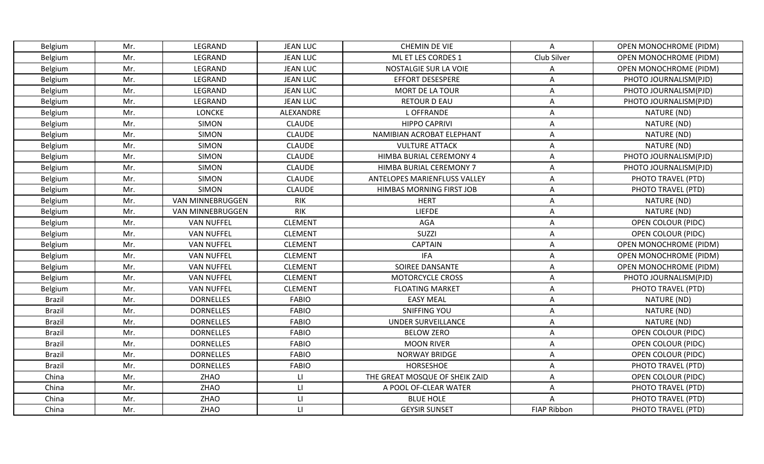| Belgium        | Mr. | LEGRAND                 | <b>JEAN LUC</b>         | <b>CHEMIN DE VIE</b>           | A                  | <b>OPEN MONOCHROME (PIDM)</b> |
|----------------|-----|-------------------------|-------------------------|--------------------------------|--------------------|-------------------------------|
| Belgium        | Mr. | LEGRAND                 | <b>JEAN LUC</b>         | ML ET LES CORDES 1             | Club Silver        | <b>OPEN MONOCHROME (PIDM)</b> |
| Belgium        | Mr. | LEGRAND                 | <b>JEAN LUC</b>         | NOSTALGIE SUR LA VOIE          | Α                  | <b>OPEN MONOCHROME (PIDM)</b> |
| Belgium        | Mr. | LEGRAND                 | <b>JEAN LUC</b>         | <b>EFFORT DESESPERE</b>        | Α                  | PHOTO JOURNALISM(PJD)         |
| Belgium        | Mr. | LEGRAND                 | <b>JEAN LUC</b>         | MORT DE LA TOUR                | Α                  | PHOTO JOURNALISM(PJD)         |
| Belgium        | Mr. | LEGRAND                 | <b>JEAN LUC</b>         | <b>RETOUR D EAU</b>            | Α                  | PHOTO JOURNALISM(PJD)         |
| <b>Belgium</b> | Mr. | <b>LONCKE</b>           | ALEXANDRE               | L OFFRANDE                     | A                  | NATURE (ND)                   |
| Belgium        | Mr. | <b>SIMON</b>            | <b>CLAUDE</b>           | <b>HIPPO CAPRIVI</b>           | A                  | NATURE (ND)                   |
| Belgium        | Mr. | <b>SIMON</b>            | <b>CLAUDE</b>           | NAMIBIAN ACROBAT ELEPHANT      | Α                  | NATURE (ND)                   |
| Belgium        | Mr. | <b>SIMON</b>            | <b>CLAUDE</b>           | <b>VULTURE ATTACK</b>          | Α                  | NATURE (ND)                   |
| Belgium        | Mr. | <b>SIMON</b>            | <b>CLAUDE</b>           | HIMBA BURIAL CEREMONY 4        | Α                  | PHOTO JOURNALISM(PJD)         |
| Belgium        | Mr. | <b>SIMON</b>            | <b>CLAUDE</b>           | HIMBA BURIAL CEREMONY 7        | Α                  | PHOTO JOURNALISM(PJD)         |
| Belgium        | Mr. | <b>SIMON</b>            | <b>CLAUDE</b>           | ANTELOPES MARIENFLUSS VALLEY   | Α                  | PHOTO TRAVEL (PTD)            |
| Belgium        | Mr. | <b>SIMON</b>            | <b>CLAUDE</b>           | HIMBAS MORNING FIRST JOB       | A                  | PHOTO TRAVEL (PTD)            |
| Belgium        | Mr. | VAN MINNEBRUGGEN        | <b>RIK</b>              | <b>HERT</b>                    | Α                  | NATURE (ND)                   |
| Belgium        | Mr. | <b>VAN MINNEBRUGGEN</b> | <b>RIK</b>              | <b>LIEFDE</b>                  | $\mathsf A$        | NATURE (ND)                   |
| <b>Belgium</b> | Mr. | <b>VAN NUFFEL</b>       | <b>CLEMENT</b>          | AGA                            | A                  | <b>OPEN COLOUR (PIDC)</b>     |
| Belgium        | Mr. | <b>VAN NUFFEL</b>       | <b>CLEMENT</b>          | <b>SUZZI</b>                   | Α                  | <b>OPEN COLOUR (PIDC)</b>     |
| Belgium        | Mr. | <b>VAN NUFFEL</b>       | <b>CLEMENT</b>          | <b>CAPTAIN</b>                 | Α                  | <b>OPEN MONOCHROME (PIDM)</b> |
| Belgium        | Mr. | <b>VAN NUFFEL</b>       | <b>CLEMENT</b>          | <b>IFA</b>                     | Α                  | <b>OPEN MONOCHROME (PIDM)</b> |
| Belgium        | Mr. | <b>VAN NUFFEL</b>       | <b>CLEMENT</b>          | SOIREE DANSANTE                | Α                  | <b>OPEN MONOCHROME (PIDM)</b> |
| Belgium        | Mr. | <b>VAN NUFFEL</b>       | <b>CLEMENT</b>          | <b>MOTORCYCLE CROSS</b>        | Α                  | PHOTO JOURNALISM(PJD)         |
| Belgium        | Mr. | <b>VAN NUFFEL</b>       | <b>CLEMENT</b>          | <b>FLOATING MARKET</b>         | Α                  | PHOTO TRAVEL (PTD)            |
| <b>Brazil</b>  | Mr. | <b>DORNELLES</b>        | <b>FABIO</b>            | <b>EASY MEAL</b>               | Α                  | NATURE (ND)                   |
| <b>Brazil</b>  | Mr. | <b>DORNELLES</b>        | <b>FABIO</b>            | <b>SNIFFING YOU</b>            | Α                  | NATURE (ND)                   |
| <b>Brazil</b>  | Mr. | <b>DORNELLES</b>        | <b>FABIO</b>            | <b>UNDER SURVEILLANCE</b>      | Α                  | NATURE (ND)                   |
| <b>Brazil</b>  | Mr. | <b>DORNELLES</b>        | <b>FABIO</b>            | <b>BELOW ZERO</b>              | A                  | <b>OPEN COLOUR (PIDC)</b>     |
| <b>Brazil</b>  | Mr. | <b>DORNELLES</b>        | <b>FABIO</b>            | <b>MOON RIVER</b>              | Α                  | OPEN COLOUR (PIDC)            |
| Brazil         | Mr. | <b>DORNELLES</b>        | <b>FABIO</b>            | <b>NORWAY BRIDGE</b>           | Α                  | <b>OPEN COLOUR (PIDC)</b>     |
| Brazil         | Mr. | <b>DORNELLES</b>        | <b>FABIO</b>            | HORSESHOE                      | Α                  | PHOTO TRAVEL (PTD)            |
| China          | Mr. | ZHAO                    | $\lfloor \cdot \rfloor$ | THE GREAT MOSQUE OF SHEIK ZAID | $\mathsf A$        | <b>OPEN COLOUR (PIDC)</b>     |
| China          | Mr. | ZHAO                    | $\lfloor \cdot \rfloor$ | A POOL OF-CLEAR WATER          | Α                  | PHOTO TRAVEL (PTD)            |
| China          | Mr. | ZHAO                    | $\mathsf{L}\mathsf{L}%$ | <b>BLUE HOLE</b>               | A                  | PHOTO TRAVEL (PTD)            |
| China          | Mr. | ZHAO                    | $\mathsf{L}\mathsf{I}$  | <b>GEYSIR SUNSET</b>           | <b>FIAP Ribbon</b> | PHOTO TRAVEL (PTD)            |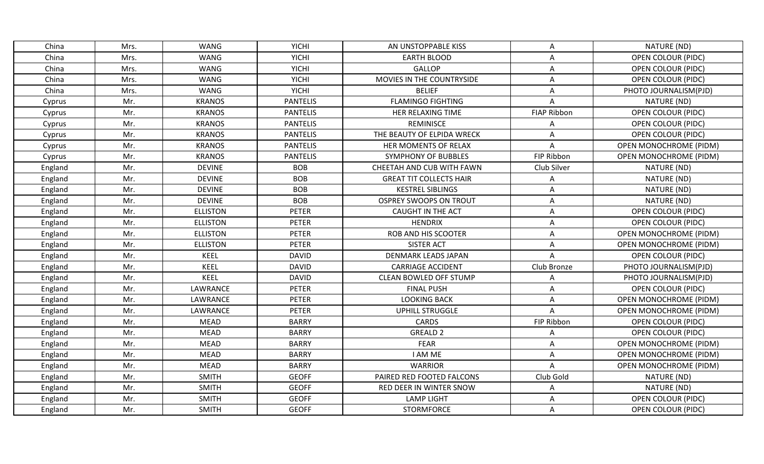| China   | Mrs. | <b>WANG</b>     | <b>YICHI</b>    | AN UNSTOPPABLE KISS            | Α                  | NATURE (ND)                   |
|---------|------|-----------------|-----------------|--------------------------------|--------------------|-------------------------------|
| China   | Mrs. | <b>WANG</b>     | <b>YICHI</b>    | <b>EARTH BLOOD</b>             | Α                  | <b>OPEN COLOUR (PIDC)</b>     |
| China   | Mrs. | <b>WANG</b>     | <b>YICHI</b>    | GALLOP                         | Α                  | <b>OPEN COLOUR (PIDC)</b>     |
| China   | Mrs. | <b>WANG</b>     | <b>YICHI</b>    | MOVIES IN THE COUNTRYSIDE      | Α                  | OPEN COLOUR (PIDC)            |
| China   | Mrs. | WANG            | <b>YICHI</b>    | <b>BELIEF</b>                  | Α                  | PHOTO JOURNALISM(PJD)         |
| Cyprus  | Mr.  | <b>KRANOS</b>   | <b>PANTELIS</b> | <b>FLAMINGO FIGHTING</b>       | A                  | NATURE (ND)                   |
| Cyprus  | Mr.  | <b>KRANOS</b>   | <b>PANTELIS</b> | HER RELAXING TIME              | <b>FIAP Ribbon</b> | <b>OPEN COLOUR (PIDC)</b>     |
| Cyprus  | Mr.  | <b>KRANOS</b>   | <b>PANTELIS</b> | <b>REMINISCE</b>               | Α                  | <b>OPEN COLOUR (PIDC)</b>     |
| Cyprus  | Mr.  | <b>KRANOS</b>   | <b>PANTELIS</b> | THE BEAUTY OF ELPIDA WRECK     | Α                  | <b>OPEN COLOUR (PIDC)</b>     |
| Cyprus  | Mr.  | <b>KRANOS</b>   | <b>PANTELIS</b> | HER MOMENTS OF RELAX           | Α                  | <b>OPEN MONOCHROME (PIDM)</b> |
| Cyprus  | Mr.  | <b>KRANOS</b>   | <b>PANTELIS</b> | <b>SYMPHONY OF BUBBLES</b>     | FIP Ribbon         | <b>OPEN MONOCHROME (PIDM)</b> |
| England | Mr.  | <b>DEVINE</b>   | <b>BOB</b>      | CHEETAH AND CUB WITH FAWN      | Club Silver        | NATURE (ND)                   |
| England | Mr.  | <b>DEVINE</b>   | <b>BOB</b>      | <b>GREAT TIT COLLECTS HAIR</b> | Α                  | NATURE (ND)                   |
| England | Mr.  | <b>DEVINE</b>   | <b>BOB</b>      | <b>KESTREL SIBLINGS</b>        | Α                  | NATURE (ND)                   |
| England | Mr.  | <b>DEVINE</b>   | <b>BOB</b>      | <b>OSPREY SWOOPS ON TROUT</b>  | Α                  | NATURE (ND)                   |
| England | Mr.  | <b>ELLISTON</b> | <b>PETER</b>    | CAUGHT IN THE ACT              | $\mathsf A$        | <b>OPEN COLOUR (PIDC)</b>     |
| England | Mr.  | <b>ELLISTON</b> | <b>PETER</b>    | <b>HENDRIX</b>                 | Α                  | <b>OPEN COLOUR (PIDC)</b>     |
| England | Mr.  | <b>ELLISTON</b> | <b>PETER</b>    | ROB AND HIS SCOOTER            | A                  | <b>OPEN MONOCHROME (PIDM)</b> |
| England | Mr.  | <b>ELLISTON</b> | <b>PETER</b>    | <b>SISTER ACT</b>              | A                  | <b>OPEN MONOCHROME (PIDM)</b> |
| England | Mr.  | <b>KEEL</b>     | <b>DAVID</b>    | <b>DENMARK LEADS JAPAN</b>     | Α                  | <b>OPEN COLOUR (PIDC)</b>     |
| England | Mr.  | <b>KEEL</b>     | <b>DAVID</b>    | <b>CARRIAGE ACCIDENT</b>       | Club Bronze        | PHOTO JOURNALISM(PJD)         |
| England | Mr.  | <b>KEEL</b>     | <b>DAVID</b>    | <b>CLEAN BOWLED OFF STUMP</b>  | Α                  | PHOTO JOURNALISM(PJD)         |
| England | Mr.  | LAWRANCE        | <b>PETER</b>    | <b>FINAL PUSH</b>              | Α                  | <b>OPEN COLOUR (PIDC)</b>     |
| England | Mr.  | LAWRANCE        | <b>PETER</b>    | <b>LOOKING BACK</b>            | Α                  | <b>OPEN MONOCHROME (PIDM)</b> |
| England | Mr.  | LAWRANCE        | <b>PETER</b>    | <b>UPHILL STRUGGLE</b>         | A                  | <b>OPEN MONOCHROME (PIDM)</b> |
| England | Mr.  | <b>MEAD</b>     | <b>BARRY</b>    | <b>CARDS</b>                   | FIP Ribbon         | <b>OPEN COLOUR (PIDC)</b>     |
| England | Mr.  | <b>MEAD</b>     | <b>BARRY</b>    | <b>GREALD 2</b>                | Α                  | <b>OPEN COLOUR (PIDC)</b>     |
| England | Mr.  | <b>MEAD</b>     | <b>BARRY</b>    | FEAR                           | Α                  | <b>OPEN MONOCHROME (PIDM)</b> |
| England | Mr.  | <b>MEAD</b>     | <b>BARRY</b>    | I AM ME                        | Α                  | <b>OPEN MONOCHROME (PIDM)</b> |
| England | Mr.  | <b>MEAD</b>     | <b>BARRY</b>    | <b>WARRIOR</b>                 | A                  | <b>OPEN MONOCHROME (PIDM)</b> |
| England | Mr.  | <b>SMITH</b>    | <b>GEOFF</b>    | PAIRED RED FOOTED FALCONS      | Club Gold          | NATURE (ND)                   |
| England | Mr.  | <b>SMITH</b>    | <b>GEOFF</b>    | RED DEER IN WINTER SNOW        | Α                  | NATURE (ND)                   |
| England | Mr.  | <b>SMITH</b>    | <b>GEOFF</b>    | <b>LAMP LIGHT</b>              | Α                  | OPEN COLOUR (PIDC)            |
| England | Mr.  | <b>SMITH</b>    | <b>GEOFF</b>    | <b>STORMFORCE</b>              | Α                  | OPEN COLOUR (PIDC)            |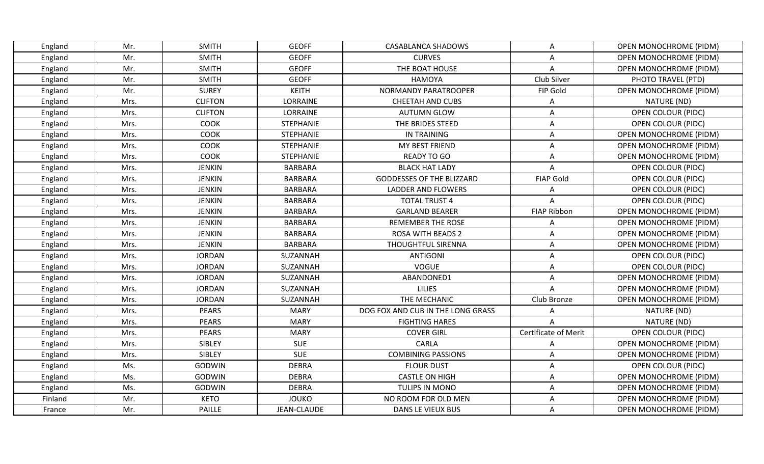| England | Mr.  | <b>SMITH</b>   | <b>GEOFF</b>     | <b>CASABLANCA SHADOWS</b>         | Α                           | <b>OPEN MONOCHROME (PIDM)</b> |
|---------|------|----------------|------------------|-----------------------------------|-----------------------------|-------------------------------|
| England | Mr.  | <b>SMITH</b>   | <b>GEOFF</b>     | <b>CURVES</b>                     | А                           | <b>OPEN MONOCHROME (PIDM)</b> |
| England | Mr.  | <b>SMITH</b>   | <b>GEOFF</b>     | THE BOAT HOUSE                    | Α                           | <b>OPEN MONOCHROME (PIDM)</b> |
| England | Mr.  | <b>SMITH</b>   | <b>GEOFF</b>     | <b>HAMOYA</b>                     | Club Silver                 | PHOTO TRAVEL (PTD)            |
| England | Mr.  | <b>SUREY</b>   | <b>KEITH</b>     | NORMANDY PARATROOPER              | FIP Gold                    | <b>OPEN MONOCHROME (PIDM)</b> |
| England | Mrs. | <b>CLIFTON</b> | LORRAINE         | <b>CHEETAH AND CUBS</b>           | Α                           | NATURE (ND)                   |
| England | Mrs. | <b>CLIFTON</b> | LORRAINE         | <b>AUTUMN GLOW</b>                | Α                           | <b>OPEN COLOUR (PIDC)</b>     |
| England | Mrs. | COOK           | <b>STEPHANIE</b> | THE BRIDES STEED                  | Α                           | <b>OPEN COLOUR (PIDC)</b>     |
| England | Mrs. | <b>COOK</b>    | <b>STEPHANIE</b> | IN TRAINING                       | Α                           | <b>OPEN MONOCHROME (PIDM)</b> |
| England | Mrs. | COOK           | <b>STEPHANIE</b> | MY BEST FRIEND                    | Α                           | <b>OPEN MONOCHROME (PIDM)</b> |
| England | Mrs. | <b>COOK</b>    | <b>STEPHANIE</b> | <b>READY TO GO</b>                | Α                           | <b>OPEN MONOCHROME (PIDM)</b> |
| England | Mrs. | <b>JENKIN</b>  | <b>BARBARA</b>   | <b>BLACK HAT LADY</b>             | А                           | OPEN COLOUR (PIDC)            |
| England | Mrs. | <b>JENKIN</b>  | <b>BARBARA</b>   | <b>GODDESSES OF THE BLIZZARD</b>  | <b>FIAP Gold</b>            | <b>OPEN COLOUR (PIDC)</b>     |
| England | Mrs. | <b>JENKIN</b>  | <b>BARBARA</b>   | LADDER AND FLOWERS                | Α                           | OPEN COLOUR (PIDC)            |
| England | Mrs. | <b>JENKIN</b>  | <b>BARBARA</b>   | <b>TOTAL TRUST 4</b>              | Α                           | <b>OPEN COLOUR (PIDC)</b>     |
| England | Mrs. | <b>JENKIN</b>  | <b>BARBARA</b>   | <b>GARLAND BEARER</b>             | <b>FIAP Ribbon</b>          | <b>OPEN MONOCHROME (PIDM)</b> |
| England | Mrs. | <b>JENKIN</b>  | <b>BARBARA</b>   | <b>REMEMBER THE ROSE</b>          | Α                           | <b>OPEN MONOCHROME (PIDM)</b> |
| England | Mrs. | <b>JENKIN</b>  | <b>BARBARA</b>   | <b>ROSA WITH BEADS 2</b>          | Α                           | OPEN MONOCHROME (PIDM)        |
| England | Mrs. | <b>JENKIN</b>  | BARBARA          | THOUGHTFUL SIRENNA                | A                           | <b>OPEN MONOCHROME (PIDM)</b> |
| England | Mrs. | <b>JORDAN</b>  | SUZANNAH         | <b>ANTIGONI</b>                   | Α                           | <b>OPEN COLOUR (PIDC)</b>     |
| England | Mrs. | <b>JORDAN</b>  | SUZANNAH         | <b>VOGUE</b>                      | Α                           | <b>OPEN COLOUR (PIDC)</b>     |
| England | Mrs. | <b>JORDAN</b>  | SUZANNAH         | ABANDONED1                        | Α                           | <b>OPEN MONOCHROME (PIDM)</b> |
| England | Mrs. | <b>JORDAN</b>  | SUZANNAH         | <b>LILIES</b>                     | Α                           | <b>OPEN MONOCHROME (PIDM)</b> |
| England | Mrs. | <b>JORDAN</b>  | SUZANNAH         | THE MECHANIC                      | Club Bronze                 | <b>OPEN MONOCHROME (PIDM)</b> |
| England | Mrs. | <b>PEARS</b>   | <b>MARY</b>      | DOG FOX AND CUB IN THE LONG GRASS | Α                           | NATURE (ND)                   |
| England | Mrs. | <b>PEARS</b>   | <b>MARY</b>      | <b>FIGHTING HARES</b>             | A                           | NATURE (ND)                   |
| England | Mrs. | <b>PEARS</b>   | <b>MARY</b>      | <b>COVER GIRL</b>                 | <b>Certificate of Merit</b> | <b>OPEN COLOUR (PIDC)</b>     |
| England | Mrs. | SIBLEY         | <b>SUE</b>       | CARLA                             | A                           | <b>OPEN MONOCHROME (PIDM)</b> |
| England | Mrs. | SIBLEY         | <b>SUE</b>       | <b>COMBINING PASSIONS</b>         | Α                           | <b>OPEN MONOCHROME (PIDM)</b> |
| England | Ms.  | <b>GODWIN</b>  | <b>DEBRA</b>     | <b>FLOUR DUST</b>                 | Α                           | <b>OPEN COLOUR (PIDC)</b>     |
| England | Ms.  | <b>GODWIN</b>  | <b>DEBRA</b>     | <b>CASTLE ON HIGH</b>             | Α                           | <b>OPEN MONOCHROME (PIDM)</b> |
| England | Ms.  | <b>GODWIN</b>  | <b>DEBRA</b>     | TULIPS IN MONO                    | Α                           | <b>OPEN MONOCHROME (PIDM)</b> |
| Finland | Mr.  | <b>KETO</b>    | <b>JOUKO</b>     | NO ROOM FOR OLD MEN               | Α                           | <b>OPEN MONOCHROME (PIDM)</b> |
| France  | Mr.  | PAILLE         | JEAN-CLAUDE      | DANS LE VIEUX BUS                 | Α                           | <b>OPEN MONOCHROME (PIDM)</b> |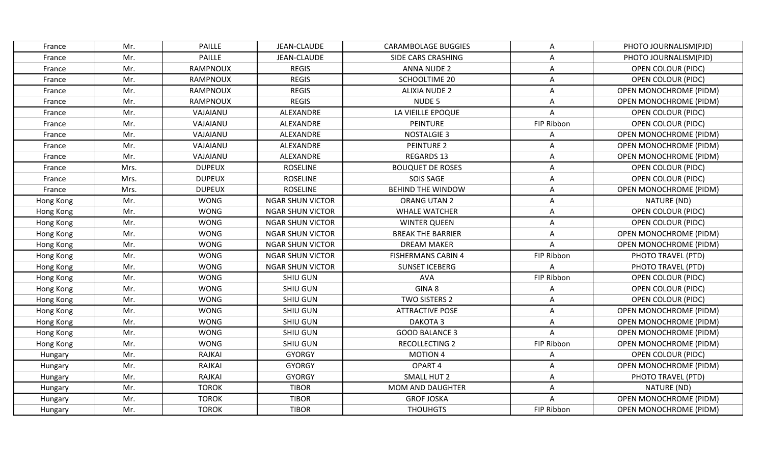| France    | Mr.  | <b>PAILLE</b>   | JEAN-CLAUDE             | CARAMBOLAGE BUGGIES       | A          | PHOTO JOURNALISM(PJD)         |
|-----------|------|-----------------|-------------------------|---------------------------|------------|-------------------------------|
| France    | Mr.  | <b>PAILLE</b>   | JEAN-CLAUDE             | SIDE CARS CRASHING        | A          | PHOTO JOURNALISM(PJD)         |
| France    | Mr.  | <b>RAMPNOUX</b> | <b>REGIS</b>            | <b>ANNA NUDE 2</b>        | A          | OPEN COLOUR (PIDC)            |
| France    | Mr.  | RAMPNOUX        | <b>REGIS</b>            | SCHOOLTIME 20             | A          | <b>OPEN COLOUR (PIDC)</b>     |
| France    | Mr.  | RAMPNOUX        | <b>REGIS</b>            | <b>ALIXIA NUDE 2</b>      | Α          | <b>OPEN MONOCHROME (PIDM)</b> |
| France    | Mr.  | RAMPNOUX        | <b>REGIS</b>            | NUDE 5                    | Α          | <b>OPEN MONOCHROME (PIDM)</b> |
| France    | Mr.  | VAJAIANU        | ALEXANDRE               | LA VIEILLE EPOQUE         | Α          | OPEN COLOUR (PIDC)            |
| France    | Mr.  | VAJAIANU        | ALEXANDRE               | PEINTURE                  | FIP Ribbon | <b>OPEN COLOUR (PIDC)</b>     |
| France    | Mr.  | VAJAIANU        | ALEXANDRE               | <b>NOSTALGIE 3</b>        | A          | OPEN MONOCHROME (PIDM)        |
| France    | Mr.  | VAJAIANU        | ALEXANDRE               | <b>PEINTURE 2</b>         | A          | <b>OPEN MONOCHROME (PIDM)</b> |
| France    | Mr.  | VAJAIANU        | ALEXANDRE               | <b>REGARDS 13</b>         | Α          | <b>OPEN MONOCHROME (PIDM)</b> |
| France    | Mrs. | <b>DUPEUX</b>   | <b>ROSELINE</b>         | <b>BOUQUET DE ROSES</b>   | A          | <b>OPEN COLOUR (PIDC)</b>     |
| France    | Mrs. | <b>DUPEUX</b>   | <b>ROSELINE</b>         | SOIS SAGE                 | A          | <b>OPEN COLOUR (PIDC)</b>     |
| France    | Mrs. | <b>DUPEUX</b>   | <b>ROSELINE</b>         | <b>BEHIND THE WINDOW</b>  | A          | <b>OPEN MONOCHROME (PIDM)</b> |
| Hong Kong | Mr.  | <b>WONG</b>     | <b>NGAR SHUN VICTOR</b> | ORANG UTAN 2              | Α          | NATURE (ND)                   |
| Hong Kong | Mr.  | <b>WONG</b>     | <b>NGAR SHUN VICTOR</b> | <b>WHALE WATCHER</b>      | Α          | <b>OPEN COLOUR (PIDC)</b>     |
| Hong Kong | Mr.  | <b>WONG</b>     | <b>NGAR SHUN VICTOR</b> | <b>WINTER QUEEN</b>       | Α          | <b>OPEN COLOUR (PIDC)</b>     |
| Hong Kong | Mr.  | <b>WONG</b>     | <b>NGAR SHUN VICTOR</b> | <b>BREAK THE BARRIER</b>  | A          | <b>OPEN MONOCHROME (PIDM)</b> |
| Hong Kong | Mr.  | <b>WONG</b>     | <b>NGAR SHUN VICTOR</b> | <b>DREAM MAKER</b>        | Α          | <b>OPEN MONOCHROME (PIDM)</b> |
| Hong Kong | Mr.  | <b>WONG</b>     | <b>NGAR SHUN VICTOR</b> | <b>FISHERMANS CABIN 4</b> | FIP Ribbon | PHOTO TRAVEL (PTD)            |
| Hong Kong | Mr.  | <b>WONG</b>     | <b>NGAR SHUN VICTOR</b> | <b>SUNSET ICEBERG</b>     | Α          | PHOTO TRAVEL (PTD)            |
| Hong Kong | Mr.  | <b>WONG</b>     | SHIU GUN                | AVA                       | FIP Ribbon | OPEN COLOUR (PIDC)            |
| Hong Kong | Mr.  | <b>WONG</b>     | SHIU GUN                | GINA 8                    | A          | <b>OPEN COLOUR (PIDC)</b>     |
| Hong Kong | Mr.  | <b>WONG</b>     | SHIU GUN                | TWO SISTERS 2             | Α          | <b>OPEN COLOUR (PIDC)</b>     |
| Hong Kong | Mr.  | <b>WONG</b>     | <b>SHIU GUN</b>         | <b>ATTRACTIVE POSE</b>    | A          | <b>OPEN MONOCHROME (PIDM)</b> |
| Hong Kong | Mr.  | <b>WONG</b>     | SHIU GUN                | DAKOTA <sub>3</sub>       | Α          | <b>OPEN MONOCHROME (PIDM)</b> |
| Hong Kong | Mr.  | <b>WONG</b>     | SHIU GUN                | <b>GOOD BALANCE 3</b>     | A          | <b>OPEN MONOCHROME (PIDM)</b> |
| Hong Kong | Mr.  | <b>WONG</b>     | <b>SHIU GUN</b>         | <b>RECOLLECTING 2</b>     | FIP Ribbon | <b>OPEN MONOCHROME (PIDM)</b> |
| Hungary   | Mr.  | RAJKAI          | <b>GYORGY</b>           | <b>MOTION 4</b>           | A          | <b>OPEN COLOUR (PIDC)</b>     |
| Hungary   | Mr.  | RAJKAI          | <b>GYORGY</b>           | OPART 4                   | Α          | <b>OPEN MONOCHROME (PIDM)</b> |
| Hungary   | Mr.  | <b>RAJKAI</b>   | <b>GYORGY</b>           | SMALL HUT 2               | A          | PHOTO TRAVEL (PTD)            |
| Hungary   | Mr.  | <b>TOROK</b>    | <b>TIBOR</b>            | <b>MOM AND DAUGHTER</b>   | Α          | NATURE (ND)                   |
| Hungary   | Mr.  | <b>TOROK</b>    | <b>TIBOR</b>            | <b>GROF JOSKA</b>         | A          | <b>OPEN MONOCHROME (PIDM)</b> |
| Hungary   | Mr.  | <b>TOROK</b>    | <b>TIBOR</b>            | <b>THOUHGTS</b>           | FIP Ribbon | <b>OPEN MONOCHROME (PIDM)</b> |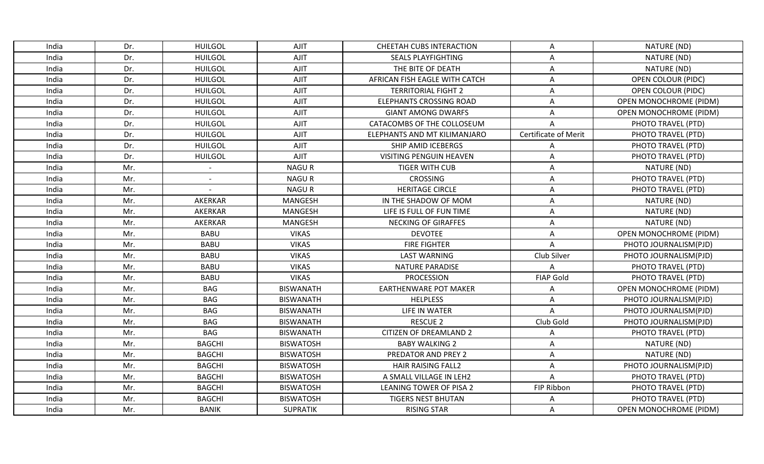| India | Dr. | <b>HUILGOL</b> | AJIT             | CHEETAH CUBS INTERACTION       | Α                           | NATURE (ND)                   |
|-------|-----|----------------|------------------|--------------------------------|-----------------------------|-------------------------------|
| India | Dr. | <b>HUILGOL</b> | AJIT             | <b>SEALS PLAYFIGHTING</b>      | A                           | NATURE (ND)                   |
| India | Dr. | <b>HUILGOL</b> | <b>AJIT</b>      | THE BITE OF DEATH              | A                           | NATURE (ND)                   |
| India | Dr. | <b>HUILGOL</b> | AJIT             | AFRICAN FISH EAGLE WITH CATCH  | A                           | <b>OPEN COLOUR (PIDC)</b>     |
| India | Dr. | <b>HUILGOL</b> | <b>AJIT</b>      | <b>TERRITORIAL FIGHT 2</b>     | Α                           | <b>OPEN COLOUR (PIDC)</b>     |
| India | Dr. | <b>HUILGOL</b> | AJIT             | <b>ELEPHANTS CROSSING ROAD</b> | Α                           | OPEN MONOCHROME (PIDM)        |
| India | Dr. | <b>HUILGOL</b> | <b>AJIT</b>      | <b>GIANT AMONG DWARFS</b>      | A                           | <b>OPEN MONOCHROME (PIDM)</b> |
| India | Dr. | <b>HUILGOL</b> | <b>AJIT</b>      | CATACOMBS OF THE COLLOSEUM     | $\overline{A}$              | PHOTO TRAVEL (PTD)            |
| India | Dr. | <b>HUILGOL</b> | AJIT             | ELEPHANTS AND MT KILIMANJARO   | <b>Certificate of Merit</b> | PHOTO TRAVEL (PTD)            |
| India | Dr. | <b>HUILGOL</b> | <b>AJIT</b>      | SHIP AMID ICEBERGS             | A                           | PHOTO TRAVEL (PTD)            |
| India | Dr. | <b>HUILGOL</b> | <b>AJIT</b>      | <b>VISITING PENGUIN HEAVEN</b> | Α                           | PHOTO TRAVEL (PTD)            |
| India | Mr. | $\sim$         | <b>NAGUR</b>     | <b>TIGER WITH CUB</b>          | Α                           | NATURE (ND)                   |
| India | Mr. |                | <b>NAGUR</b>     | <b>CROSSING</b>                | A                           | PHOTO TRAVEL (PTD)            |
| India | Mr. |                | <b>NAGUR</b>     | <b>HERITAGE CIRCLE</b>         | A                           | PHOTO TRAVEL (PTD)            |
| India | Mr. | <b>AKERKAR</b> | MANGESH          | IN THE SHADOW OF MOM           | Α                           | NATURE (ND)                   |
| India | Mr. | AKERKAR        | <b>MANGESH</b>   | LIFE IS FULL OF FUN TIME       | Α                           | NATURE (ND)                   |
| India | Mr. | AKERKAR        | <b>MANGESH</b>   | NECKING OF GIRAFFES            | Α                           | NATURE (ND)                   |
| India | Mr. | <b>BABU</b>    | <b>VIKAS</b>     | <b>DEVOTEE</b>                 | A                           | <b>OPEN MONOCHROME (PIDM)</b> |
| India | Mr. | <b>BABU</b>    | <b>VIKAS</b>     | <b>FIRE FIGHTER</b>            | A                           | PHOTO JOURNALISM(PJD)         |
| India | Mr. | <b>BABU</b>    | <b>VIKAS</b>     | <b>LAST WARNING</b>            | Club Silver                 | PHOTO JOURNALISM(PJD)         |
| India | Mr. | <b>BABU</b>    | <b>VIKAS</b>     | <b>NATURE PARADISE</b>         | Α                           | PHOTO TRAVEL (PTD)            |
| India | Mr. | <b>BABU</b>    | <b>VIKAS</b>     | <b>PROCESSION</b>              | <b>FIAP Gold</b>            | PHOTO TRAVEL (PTD)            |
| India | Mr. | <b>BAG</b>     | <b>BISWANATH</b> | <b>EARTHENWARE POT MAKER</b>   | A                           | OPEN MONOCHROME (PIDM)        |
| India | Mr. | <b>BAG</b>     | <b>BISWANATH</b> | <b>HELPLESS</b>                | A                           | PHOTO JOURNALISM(PJD)         |
| India | Mr. | <b>BAG</b>     | <b>BISWANATH</b> | LIFE IN WATER                  | A                           | PHOTO JOURNALISM(PJD)         |
| India | Mr. | <b>BAG</b>     | <b>BISWANATH</b> | <b>RESCUE 2</b>                | Club Gold                   | PHOTO JOURNALISM(PJD)         |
| India | Mr. | <b>BAG</b>     | <b>BISWANATH</b> | <b>CITIZEN OF DREAMLAND 2</b>  | Α                           | PHOTO TRAVEL (PTD)            |
| India | Mr. | <b>BAGCHI</b>  | <b>BISWATOSH</b> | <b>BABY WALKING 2</b>          | A                           | NATURE (ND)                   |
| India | Mr. | <b>BAGCHI</b>  | <b>BISWATOSH</b> | PREDATOR AND PREY 2            | A                           | NATURE (ND)                   |
| India | Mr. | <b>BAGCHI</b>  | <b>BISWATOSH</b> | <b>HAIR RAISING FALL2</b>      | Α                           | PHOTO JOURNALISM(PJD)         |
| India | Mr. | <b>BAGCHI</b>  | <b>BISWATOSH</b> | A SMALL VILLAGE IN LEH2        | A                           | PHOTO TRAVEL (PTD)            |
| India | Mr. | <b>BAGCHI</b>  | <b>BISWATOSH</b> | LEANING TOWER OF PISA 2        | FIP Ribbon                  | PHOTO TRAVEL (PTD)            |
| India | Mr. | <b>BAGCHI</b>  | <b>BISWATOSH</b> | <b>TIGERS NEST BHUTAN</b>      | A                           | PHOTO TRAVEL (PTD)            |
| India | Mr. | <b>BANIK</b>   | <b>SUPRATIK</b>  | <b>RISING STAR</b>             | A                           | <b>OPEN MONOCHROME (PIDM)</b> |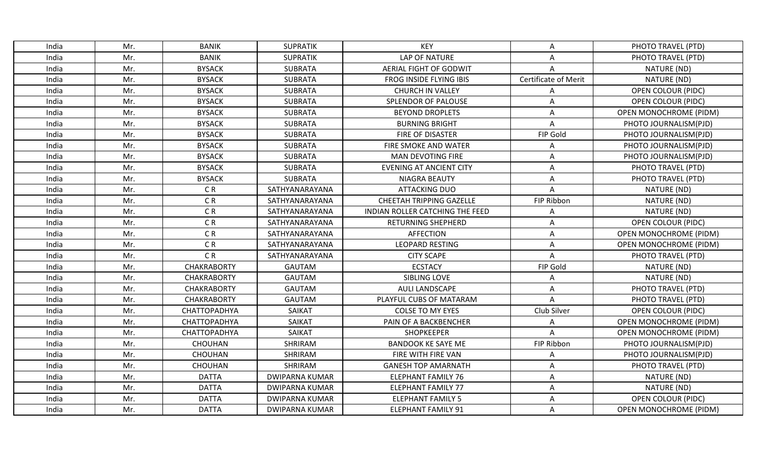| India | Mr. | <b>BANIK</b>       |                       | <b>KEY</b>                      |                      |                               |
|-------|-----|--------------------|-----------------------|---------------------------------|----------------------|-------------------------------|
|       |     |                    | <b>SUPRATIK</b>       |                                 | Α                    | PHOTO TRAVEL (PTD)            |
| India | Mr. | <b>BANIK</b>       | <b>SUPRATIK</b>       | LAP OF NATURE                   | A                    | PHOTO TRAVEL (PTD)            |
| India | Mr. | <b>BYSACK</b>      | <b>SUBRATA</b>        | AERIAL FIGHT OF GODWIT          | A                    | NATURE (ND)                   |
| India | Mr. | <b>BYSACK</b>      | <b>SUBRATA</b>        | FROG INSIDE FLYING IBIS         | Certificate of Merit | NATURE (ND)                   |
| India | Mr. | <b>BYSACK</b>      | <b>SUBRATA</b>        | <b>CHURCH IN VALLEY</b>         | Α                    | <b>OPEN COLOUR (PIDC)</b>     |
| India | Mr. | <b>BYSACK</b>      | <b>SUBRATA</b>        | SPLENDOR OF PALOUSE             | Α                    | <b>OPEN COLOUR (PIDC)</b>     |
| India | Mr. | <b>BYSACK</b>      | <b>SUBRATA</b>        | <b>BEYOND DROPLETS</b>          | Α                    | <b>OPEN MONOCHROME (PIDM)</b> |
| India | Mr. | <b>BYSACK</b>      | <b>SUBRATA</b>        | <b>BURNING BRIGHT</b>           | A                    | PHOTO JOURNALISM(PJD)         |
| India | Mr. | <b>BYSACK</b>      | <b>SUBRATA</b>        | <b>FIRE OF DISASTER</b>         | FIP Gold             | PHOTO JOURNALISM(PJD)         |
| India | Mr. | <b>BYSACK</b>      | <b>SUBRATA</b>        | FIRE SMOKE AND WATER            | A                    | PHOTO JOURNALISM(PJD)         |
| India | Mr. | <b>BYSACK</b>      | <b>SUBRATA</b>        | <b>MAN DEVOTING FIRE</b>        | Α                    | PHOTO JOURNALISM(PJD)         |
| India | Mr. | <b>BYSACK</b>      | <b>SUBRATA</b>        | <b>EVENING AT ANCIENT CITY</b>  | A                    | PHOTO TRAVEL (PTD)            |
| India | Mr. | <b>BYSACK</b>      | <b>SUBRATA</b>        | <b>NIAGRA BEAUTY</b>            | A                    | PHOTO TRAVEL (PTD)            |
| India | Mr. | CR                 | SATHYANARAYANA        | <b>ATTACKING DUO</b>            | A                    | NATURE (ND)                   |
| India | Mr. | $\mathsf C$ R      | SATHYANARAYANA        | CHEETAH TRIPPING GAZELLE        | FIP Ribbon           | NATURE (ND)                   |
| India | Mr. | CR                 | SATHYANARAYANA        | INDIAN ROLLER CATCHING THE FEED | Α                    | NATURE (ND)                   |
| India | Mr. | $\mathsf C$ R      | SATHYANARAYANA        | <b>RETURNING SHEPHERD</b>       | Α                    | <b>OPEN COLOUR (PIDC)</b>     |
| India | Mr. | C R                | SATHYANARAYANA        | <b>AFFECTION</b>                | A                    | <b>OPEN MONOCHROME (PIDM)</b> |
| India | Mr. | C <sub>R</sub>     | SATHYANARAYANA        | <b>LEOPARD RESTING</b>          | A                    | OPEN MONOCHROME (PIDM)        |
| India | Mr. | CR                 | SATHYANARAYANA        | <b>CITY SCAPE</b>               | A                    | PHOTO TRAVEL (PTD)            |
| India | Mr. | <b>CHAKRABORTY</b> | <b>GAUTAM</b>         | <b>ECSTACY</b>                  | FIP Gold             | NATURE (ND)                   |
| India | Mr. | <b>CHAKRABORTY</b> | <b>GAUTAM</b>         | SIBLING LOVE                    | Α                    | NATURE (ND)                   |
| India | Mr. | <b>CHAKRABORTY</b> | <b>GAUTAM</b>         | <b>AULI LANDSCAPE</b>           | A                    | PHOTO TRAVEL (PTD)            |
| India | Mr. | <b>CHAKRABORTY</b> | <b>GAUTAM</b>         | PLAYFUL CUBS OF MATARAM         | A                    | PHOTO TRAVEL (PTD)            |
| India | Mr. | CHATTOPADHYA       | SAIKAT                | <b>COLSE TO MY EYES</b>         | Club Silver          | <b>OPEN COLOUR (PIDC)</b>     |
| India | Mr. | CHATTOPADHYA       | <b>SAIKAT</b>         | PAIN OF A BACKBENCHER           | A                    | <b>OPEN MONOCHROME (PIDM)</b> |
| India | Mr. | CHATTOPADHYA       | SAIKAT                | <b>SHOPKEEPER</b>               | A                    | <b>OPEN MONOCHROME (PIDM)</b> |
| India | Mr. | CHOUHAN            | SHRIRAM               | <b>BANDOOK KE SAYE ME</b>       | FIP Ribbon           | PHOTO JOURNALISM(PJD)         |
| India | Mr. | <b>CHOUHAN</b>     | SHRIRAM               | FIRE WITH FIRE VAN              | A                    | PHOTO JOURNALISM(PJD)         |
| India | Mr. | CHOUHAN            | SHRIRAM               | <b>GANESH TOP AMARNATH</b>      | Α                    | PHOTO TRAVEL (PTD)            |
| India | Mr. | <b>DATTA</b>       | <b>DWIPARNA KUMAR</b> | <b>ELEPHANT FAMILY 76</b>       | A                    | NATURE (ND)                   |
| India | Mr. | <b>DATTA</b>       | <b>DWIPARNA KUMAR</b> | <b>ELEPHANT FAMILY 77</b>       | Α                    | NATURE (ND)                   |
| India | Mr. | <b>DATTA</b>       | <b>DWIPARNA KUMAR</b> | <b>ELEPHANT FAMILY 5</b>        | A                    | <b>OPEN COLOUR (PIDC)</b>     |
| India | Mr. | <b>DATTA</b>       | <b>DWIPARNA KUMAR</b> | <b>ELEPHANT FAMILY 91</b>       | A                    | <b>OPEN MONOCHROME (PIDM)</b> |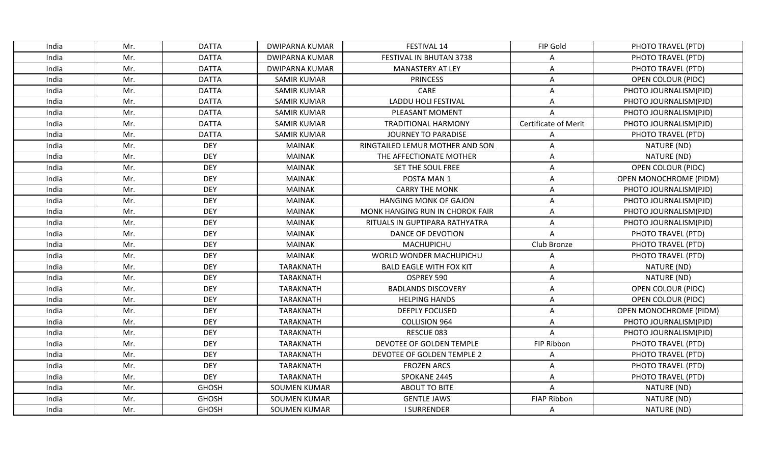| India | Mr. | <b>DATTA</b> | <b>DWIPARNA KUMAR</b> | FESTIVAL 14                     | FIP Gold             | PHOTO TRAVEL (PTD)            |
|-------|-----|--------------|-----------------------|---------------------------------|----------------------|-------------------------------|
| India | Mr. | <b>DATTA</b> | <b>DWIPARNA KUMAR</b> | FESTIVAL IN BHUTAN 3738         | А                    | PHOTO TRAVEL (PTD)            |
| India | Mr. | <b>DATTA</b> | <b>DWIPARNA KUMAR</b> | <b>MANASTERY AT LEY</b>         | Α                    | PHOTO TRAVEL (PTD)            |
| India | Mr. | <b>DATTA</b> | <b>SAMIR KUMAR</b>    | <b>PRINCESS</b>                 | Α                    | <b>OPEN COLOUR (PIDC)</b>     |
| India | Mr. | <b>DATTA</b> | <b>SAMIR KUMAR</b>    | CARE                            | A                    | PHOTO JOURNALISM(PJD)         |
| India | Mr. | <b>DATTA</b> | <b>SAMIR KUMAR</b>    | LADDU HOLI FESTIVAL             | A                    | PHOTO JOURNALISM(PJD)         |
| India | Mr. | <b>DATTA</b> | <b>SAMIR KUMAR</b>    | PLEASANT MOMENT                 | A                    | PHOTO JOURNALISM(PJD)         |
| India | Mr. | <b>DATTA</b> | <b>SAMIR KUMAR</b>    | <b>TRADITIONAL HARMONY</b>      | Certificate of Merit | PHOTO JOURNALISM(PJD)         |
| India | Mr. | <b>DATTA</b> | <b>SAMIR KUMAR</b>    | <b>JOURNEY TO PARADISE</b>      | A                    | PHOTO TRAVEL (PTD)            |
| India | Mr. | <b>DEY</b>   | <b>MAINAK</b>         | RINGTAILED LEMUR MOTHER AND SON | A                    | NATURE (ND)                   |
| India | Mr. | <b>DEY</b>   | <b>MAINAK</b>         | THE AFFECTIONATE MOTHER         | A                    | NATURE (ND)                   |
| India | Mr. | <b>DEY</b>   | <b>MAINAK</b>         | SET THE SOUL FREE               | A                    | OPEN COLOUR (PIDC)            |
| India | Mr. | <b>DEY</b>   | <b>MAINAK</b>         | POSTA MAN 1                     | A                    | <b>OPEN MONOCHROME (PIDM)</b> |
| India | Mr. | <b>DEY</b>   | <b>MAINAK</b>         | <b>CARRY THE MONK</b>           | Α                    | PHOTO JOURNALISM(PJD)         |
| India | Mr. | <b>DEY</b>   | <b>MAINAK</b>         | <b>HANGING MONK OF GAJON</b>    | A                    | PHOTO JOURNALISM(PJD)         |
| India | Mr. | <b>DEY</b>   | <b>MAINAK</b>         | MONK HANGING RUN IN CHOROK FAIR | Α                    | PHOTO JOURNALISM(PJD)         |
| India | Mr. | <b>DEY</b>   | <b>MAINAK</b>         | RITUALS IN GUPTIPARA RATHYATRA  | A                    | PHOTO JOURNALISM(PJD)         |
| India | Mr. | <b>DEY</b>   | <b>MAINAK</b>         | DANCE OF DEVOTION               | $\overline{A}$       | PHOTO TRAVEL (PTD)            |
| India | Mr. | <b>DEY</b>   | <b>MAINAK</b>         | MACHUPICHU                      | Club Bronze          | PHOTO TRAVEL (PTD)            |
| India | Mr. | <b>DEY</b>   | <b>MAINAK</b>         | WORLD WONDER MACHUPICHU         | Α                    | PHOTO TRAVEL (PTD)            |
| India | Mr. | <b>DEY</b>   | <b>TARAKNATH</b>      | <b>BALD EAGLE WITH FOX KIT</b>  | A                    | NATURE (ND)                   |
| India | Mr. | <b>DEY</b>   | TARAKNATH             | OSPREY 590                      | Α                    | NATURE (ND)                   |
| India | Mr. | <b>DEY</b>   | <b>TARAKNATH</b>      | <b>BADLANDS DISCOVERY</b>       | A                    | <b>OPEN COLOUR (PIDC)</b>     |
| India | Mr. | <b>DEY</b>   | <b>TARAKNATH</b>      | <b>HELPING HANDS</b>            | Α                    | OPEN COLOUR (PIDC)            |
| India | Mr. | <b>DEY</b>   | <b>TARAKNATH</b>      | <b>DEEPLY FOCUSED</b>           | A                    | <b>OPEN MONOCHROME (PIDM)</b> |
| India | Mr. | <b>DEY</b>   | <b>TARAKNATH</b>      | <b>COLLISION 964</b>            | Α                    | PHOTO JOURNALISM(PJD)         |
| India | Mr. | <b>DEY</b>   | <b>TARAKNATH</b>      | RESCUE 083                      | A                    | PHOTO JOURNALISM(PJD)         |
| India | Mr. | <b>DEY</b>   | <b>TARAKNATH</b>      | DEVOTEE OF GOLDEN TEMPLE        | FIP Ribbon           | PHOTO TRAVEL (PTD)            |
| India | Mr. | <b>DEY</b>   | <b>TARAKNATH</b>      | DEVOTEE OF GOLDEN TEMPLE 2      | A                    | PHOTO TRAVEL (PTD)            |
| India | Mr. | <b>DEY</b>   | <b>TARAKNATH</b>      | <b>FROZEN ARCS</b>              | A                    | PHOTO TRAVEL (PTD)            |
| India | Mr. | <b>DEY</b>   | <b>TARAKNATH</b>      | SPOKANE 2445                    | A                    | PHOTO TRAVEL (PTD)            |
| India | Mr. | <b>GHOSH</b> | <b>SOUMEN KUMAR</b>   | <b>ABOUT TO BITE</b>            | Α                    | NATURE (ND)                   |
| India | Mr. | <b>GHOSH</b> | <b>SOUMEN KUMAR</b>   | <b>GENTLE JAWS</b>              | <b>FIAP Ribbon</b>   | NATURE (ND)                   |
| India | Mr. | <b>GHOSH</b> | <b>SOUMEN KUMAR</b>   | <b>I SURRENDER</b>              | A                    | NATURE (ND)                   |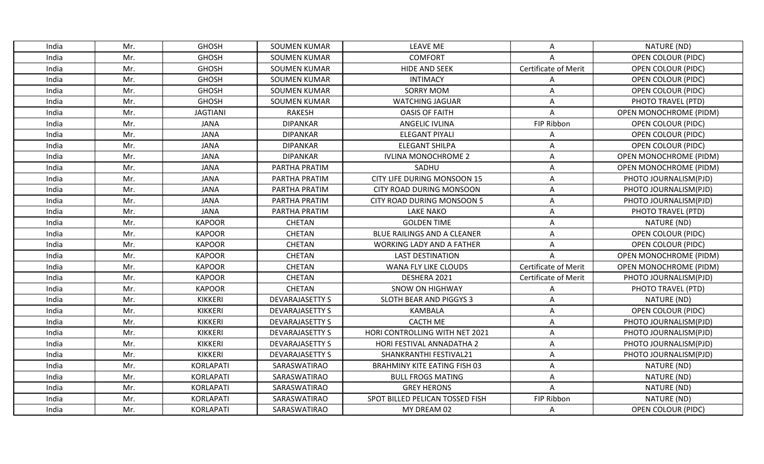| India | Mr. | <b>GHOSH</b>     | <b>SOUMEN KUMAR</b>    | <b>LEAVE ME</b>                     | A                           | NATURE (ND)                   |
|-------|-----|------------------|------------------------|-------------------------------------|-----------------------------|-------------------------------|
| India | Mr. | <b>GHOSH</b>     | <b>SOUMEN KUMAR</b>    | <b>COMFORT</b>                      | A                           | <b>OPEN COLOUR (PIDC)</b>     |
| India | Mr. | <b>GHOSH</b>     | <b>SOUMEN KUMAR</b>    | <b>HIDE AND SEEK</b>                | Certificate of Merit        | OPEN COLOUR (PIDC)            |
| India | Mr. | <b>GHOSH</b>     | <b>SOUMEN KUMAR</b>    | <b>INTIMACY</b>                     | A                           | <b>OPEN COLOUR (PIDC)</b>     |
| India | Mr. | <b>GHOSH</b>     | <b>SOUMEN KUMAR</b>    | <b>SORRY MOM</b>                    | Α                           | <b>OPEN COLOUR (PIDC)</b>     |
| India | Mr. | <b>GHOSH</b>     | <b>SOUMEN KUMAR</b>    | <b>WATCHING JAGUAR</b>              | Α                           | PHOTO TRAVEL (PTD)            |
| India | Mr. | <b>JAGTIANI</b>  | <b>RAKESH</b>          | <b>OASIS OF FAITH</b>               | Α                           | <b>OPEN MONOCHROME (PIDM)</b> |
| India | Mr. | <b>JANA</b>      | <b>DIPANKAR</b>        | <b>ANGELIC IVLINA</b>               | FIP Ribbon                  | <b>OPEN COLOUR (PIDC)</b>     |
| India | Mr. | <b>JANA</b>      | <b>DIPANKAR</b>        | ELEGANT PIYALI                      | A                           | <b>OPEN COLOUR (PIDC)</b>     |
| India | Mr. | <b>JANA</b>      | <b>DIPANKAR</b>        | <b>ELEGANT SHILPA</b>               | Α                           | <b>OPEN COLOUR (PIDC)</b>     |
| India | Mr. | <b>JANA</b>      | <b>DIPANKAR</b>        | <b>IVLINA MONOCHROME 2</b>          | Α                           | <b>OPEN MONOCHROME (PIDM)</b> |
| India | Mr. | <b>JANA</b>      | PARTHA PRATIM          | SADHU                               | A                           | OPEN MONOCHROME (PIDM)        |
| India | Mr. | <b>JANA</b>      | PARTHA PRATIM          | CITY LIFE DURING MONSOON 15         | Α                           | PHOTO JOURNALISM(PJD)         |
| India | Mr. | <b>JANA</b>      | PARTHA PRATIM          | CITY ROAD DURING MONSOON            | A                           | PHOTO JOURNALISM(PJD)         |
| India | Mr. | <b>JANA</b>      | PARTHA PRATIM          | <b>CITY ROAD DURING MONSOON 5</b>   | Α                           | PHOTO JOURNALISM(PJD)         |
| India | Mr. | <b>JANA</b>      | PARTHA PRATIM          | <b>LAKE NAKO</b>                    | Α                           | PHOTO TRAVEL (PTD)            |
| India | Mr. | <b>KAPOOR</b>    | <b>CHETAN</b>          | <b>GOLDEN TIME</b>                  | Α                           | NATURE (ND)                   |
| India | Mr. | <b>KAPOOR</b>    | <b>CHETAN</b>          | BLUE RAILINGS AND A CLEANER         | Α                           | <b>OPEN COLOUR (PIDC)</b>     |
| India | Mr. | <b>KAPOOR</b>    | <b>CHETAN</b>          | <b>WORKING LADY AND A FATHER</b>    | Α                           | <b>OPEN COLOUR (PIDC)</b>     |
| India | Mr. | <b>KAPOOR</b>    | <b>CHETAN</b>          | <b>LAST DESTINATION</b>             | A                           | <b>OPEN MONOCHROME (PIDM)</b> |
| India | Mr. | <b>KAPOOR</b>    | <b>CHETAN</b>          | <b>WANA FLY LIKE CLOUDS</b>         | <b>Certificate of Merit</b> | <b>OPEN MONOCHROME (PIDM)</b> |
| India | Mr. | <b>KAPOOR</b>    | <b>CHETAN</b>          | DESHERA 2021                        | <b>Certificate of Merit</b> | PHOTO JOURNALISM(PJD)         |
| India | Mr. | <b>KAPOOR</b>    | <b>CHETAN</b>          | <b>SNOW ON HIGHWAY</b>              | A                           | PHOTO TRAVEL (PTD)            |
| India | Mr. | <b>KIKKERI</b>   | <b>DEVARAJASETTY S</b> | SLOTH BEAR AND PIGGYS 3             | A                           | NATURE (ND)                   |
| India | Mr. | <b>KIKKERI</b>   | <b>DEVARAJASETTY S</b> | <b>KAMBALA</b>                      | A                           | <b>OPEN COLOUR (PIDC)</b>     |
| India | Mr. | <b>KIKKERI</b>   | <b>DEVARAJASETTY S</b> | <b>CACTH ME</b>                     | Α                           | PHOTO JOURNALISM(PJD)         |
| India | Mr. | <b>KIKKERI</b>   | <b>DEVARAJASETTY S</b> | HORI CONTROLLING WITH NET 2021      | $\mathsf A$                 | PHOTO JOURNALISM(PJD)         |
| India | Mr. | KIKKERI          | <b>DEVARAJASETTY S</b> | HORI FESTIVAL ANNADATHA 2           | A                           | PHOTO JOURNALISM(PJD)         |
| India | Mr. | <b>KIKKERI</b>   | <b>DEVARAJASETTY S</b> | SHANKRANTHI FESTIVAL21              | A                           | PHOTO JOURNALISM(PJD)         |
| India | Mr. | <b>KORLAPATI</b> | SARASWATIRAO           | <b>BRAHMINY KITE EATING FISH 03</b> | Α                           | NATURE (ND)                   |
| India | Mr. | KORLAPATI        | SARASWATIRAO           | <b>BULL FROGS MATING</b>            | A                           | NATURE (ND)                   |
| India | Mr. | KORLAPATI        | SARASWATIRAO           | <b>GREY HERONS</b>                  | A                           | NATURE (ND)                   |
| India | Mr. | <b>KORLAPATI</b> | SARASWATIRAO           | SPOT BILLED PELICAN TOSSED FISH     | FIP Ribbon                  | NATURE (ND)                   |
| India | Mr. | <b>KORLAPATI</b> | SARASWATIRAO           | MY DREAM 02                         | Α                           | <b>OPEN COLOUR (PIDC)</b>     |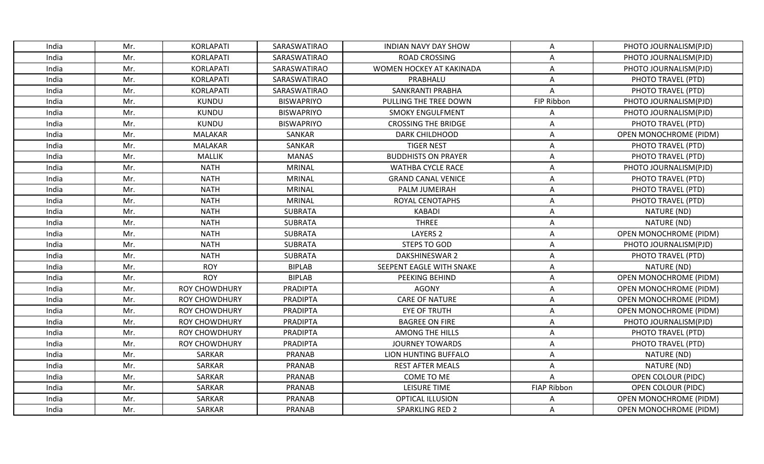| India | Mr. | KORLAPATI            | SARASWATIRAO      | <b>INDIAN NAVY DAY SHOW</b> | Α                  | PHOTO JOURNALISM(PJD)         |
|-------|-----|----------------------|-------------------|-----------------------------|--------------------|-------------------------------|
| India | Mr. | KORLAPATI            | SARASWATIRAO      | <b>ROAD CROSSING</b>        | A                  | PHOTO JOURNALISM(PJD)         |
| India | Mr. | KORLAPATI            | SARASWATIRAO      | WOMEN HOCKEY AT KAKINADA    | A                  | PHOTO JOURNALISM(PJD)         |
| India | Mr. | KORLAPATI            | SARASWATIRAO      | PRABHALU                    | Α                  | PHOTO TRAVEL (PTD)            |
| India | Mr. | <b>KORLAPATI</b>     | SARASWATIRAO      | <b>SANKRANTI PRABHA</b>     | A                  | PHOTO TRAVEL (PTD)            |
| India | Mr. | <b>KUNDU</b>         | <b>BISWAPRIYO</b> | PULLING THE TREE DOWN       | FIP Ribbon         | PHOTO JOURNALISM(PJD)         |
| India | Mr. | <b>KUNDU</b>         | <b>BISWAPRIYO</b> | <b>SMOKY ENGULFMENT</b>     | Α                  | PHOTO JOURNALISM(PJD)         |
| India | Mr. | <b>KUNDU</b>         | <b>BISWAPRIYO</b> | <b>CROSSING THE BRIDGE</b>  | A                  | PHOTO TRAVEL (PTD)            |
| India | Mr. | <b>MALAKAR</b>       | <b>SANKAR</b>     | <b>DARK CHILDHOOD</b>       | A                  | <b>OPEN MONOCHROME (PIDM)</b> |
| India | Mr. | MALAKAR              | SANKAR            | <b>TIGER NEST</b>           | Α                  | PHOTO TRAVEL (PTD)            |
| India | Mr. | <b>MALLIK</b>        | <b>MANAS</b>      | <b>BUDDHISTS ON PRAYER</b>  | Α                  | PHOTO TRAVEL (PTD)            |
| India | Mr. | <b>NATH</b>          | <b>MRINAL</b>     | <b>WATHBA CYCLE RACE</b>    | Α                  | PHOTO JOURNALISM(PJD)         |
| India | Mr. | <b>NATH</b>          | <b>MRINAL</b>     | <b>GRAND CANAL VENICE</b>   | A                  | PHOTO TRAVEL (PTD)            |
| India | Mr. | <b>NATH</b>          | <b>MRINAL</b>     | <b>PALM JUMEIRAH</b>        | Α                  | PHOTO TRAVEL (PTD)            |
| India | Mr. | <b>NATH</b>          | <b>MRINAL</b>     | ROYAL CENOTAPHS             | Α                  | PHOTO TRAVEL (PTD)            |
| India | Mr. | <b>NATH</b>          | <b>SUBRATA</b>    | <b>KABADI</b>               | Α                  | NATURE (ND)                   |
| India | Mr. | <b>NATH</b>          | <b>SUBRATA</b>    | <b>THREE</b>                | Α                  | NATURE (ND)                   |
| India | Mr. | <b>NATH</b>          | <b>SUBRATA</b>    | <b>LAYERS 2</b>             | A                  | <b>OPEN MONOCHROME (PIDM)</b> |
| India | Mr. | <b>NATH</b>          | <b>SUBRATA</b>    | STEPS TO GOD                | A                  | PHOTO JOURNALISM(PJD)         |
| India | Mr. | <b>NATH</b>          | <b>SUBRATA</b>    | <b>DAKSHINESWAR 2</b>       | A                  | PHOTO TRAVEL (PTD)            |
| India | Mr. | <b>ROY</b>           | <b>BIPLAB</b>     | SEEPENT EAGLE WITH SNAKE    | Α                  | NATURE (ND)                   |
| India | Mr. | <b>ROY</b>           | <b>BIPLAB</b>     | PEEKING BEHIND              | Α                  | <b>OPEN MONOCHROME (PIDM)</b> |
| India | Mr. | <b>ROY CHOWDHURY</b> | <b>PRADIPTA</b>   | <b>AGONY</b>                | A                  | <b>OPEN MONOCHROME (PIDM)</b> |
| India | Mr. | <b>ROY CHOWDHURY</b> | <b>PRADIPTA</b>   | <b>CARE OF NATURE</b>       | A                  | OPEN MONOCHROME (PIDM)        |
| India | Mr. | <b>ROY CHOWDHURY</b> | PRADIPTA          | <b>EYE OF TRUTH</b>         | Α                  | OPEN MONOCHROME (PIDM)        |
| India | Mr. | <b>ROY CHOWDHURY</b> | <b>PRADIPTA</b>   | <b>BAGREE ON FIRE</b>       | Α                  | PHOTO JOURNALISM(PJD)         |
| India | Mr. | <b>ROY CHOWDHURY</b> | PRADIPTA          | <b>AMONG THE HILLS</b>      | A                  | PHOTO TRAVEL (PTD)            |
| India | Mr. | <b>ROY CHOWDHURY</b> | <b>PRADIPTA</b>   | <b>JOURNEY TOWARDS</b>      | A                  | PHOTO TRAVEL (PTD)            |
| India | Mr. | SARKAR               | PRANAB            | LION HUNTING BUFFALO        | Α                  | NATURE (ND)                   |
| India | Mr. | SARKAR               | PRANAB            | <b>REST AFTER MEALS</b>     | Α                  | NATURE (ND)                   |
| India | Mr. | <b>SARKAR</b>        | PRANAB            | COME TO ME                  | A                  | <b>OPEN COLOUR (PIDC)</b>     |
| India | Mr. | SARKAR               | <b>PRANAB</b>     | <b>LEISURE TIME</b>         | <b>FIAP Ribbon</b> | OPEN COLOUR (PIDC)            |
| India | Mr. | <b>SARKAR</b>        | PRANAB            | OPTICAL ILLUSION            | Α                  | <b>OPEN MONOCHROME (PIDM)</b> |
| India | Mr. | SARKAR               | <b>PRANAB</b>     | SPARKLING RED 2             | A                  | <b>OPEN MONOCHROME (PIDM)</b> |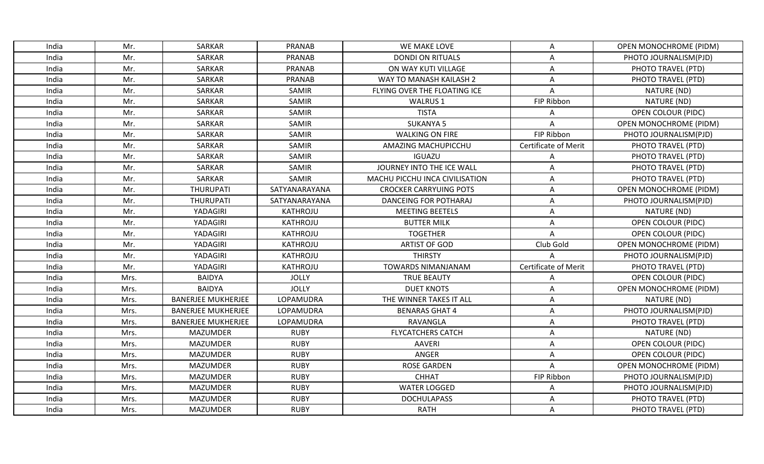| India | Mr.  | SARKAR                    | <b>PRANAB</b>   | WE MAKE LOVE                   | Α                           | <b>OPEN MONOCHROME (PIDM)</b> |
|-------|------|---------------------------|-----------------|--------------------------------|-----------------------------|-------------------------------|
| India | Mr.  | SARKAR                    | PRANAB          | <b>DONDI ON RITUALS</b>        | A                           | PHOTO JOURNALISM(PJD)         |
| India | Mr.  | SARKAR                    | PRANAB          | ON WAY KUTI VILLAGE            | A                           | PHOTO TRAVEL (PTD)            |
| India | Mr.  | SARKAR                    | <b>PRANAB</b>   | WAY TO MANASH KAILASH 2        | A                           | PHOTO TRAVEL (PTD)            |
| India | Mr.  | <b>SARKAR</b>             | SAMIR           | FLYING OVER THE FLOATING ICE   | $\mathsf A$                 | NATURE (ND)                   |
| India | Mr.  | SARKAR                    | SAMIR           | WALRUS 1                       | FIP Ribbon                  | NATURE (ND)                   |
| India | Mr.  | <b>SARKAR</b>             | SAMIR           | <b>TISTA</b>                   | Α                           | OPEN COLOUR (PIDC)            |
| India | Mr.  | SARKAR                    | SAMIR           | <b>SUKANYA 5</b>               | $\overline{A}$              | <b>OPEN MONOCHROME (PIDM)</b> |
| India | Mr.  | <b>SARKAR</b>             | SAMIR           | <b>WALKING ON FIRE</b>         | FIP Ribbon                  | PHOTO JOURNALISM(PJD)         |
| India | Mr.  | <b>SARKAR</b>             | SAMIR           | AMAZING MACHUPICCHU            | <b>Certificate of Merit</b> | PHOTO TRAVEL (PTD)            |
| India | Mr.  | SARKAR                    | SAMIR           | <b>IGUAZU</b>                  | A                           | PHOTO TRAVEL (PTD)            |
| India | Mr.  | SARKAR                    | SAMIR           | JOURNEY INTO THE ICE WALL      | Α                           | PHOTO TRAVEL (PTD)            |
| India | Mr.  | SARKAR                    | SAMIR           | MACHU PICCHU INCA CIVILISATION | A                           | PHOTO TRAVEL (PTD)            |
| India | Mr.  | <b>THURUPATI</b>          | SATYANARAYANA   | <b>CROCKER CARRYUING POTS</b>  | A                           | <b>OPEN MONOCHROME (PIDM)</b> |
| India | Mr.  | THURUPATI                 | SATYANARAYANA   | <b>DANCEING FOR POTHARAJ</b>   | Α                           | PHOTO JOURNALISM(PJD)         |
| India | Mr.  | YADAGIRI                  | KATHROJU        | <b>MEETING BEETELS</b>         | Α                           | NATURE (ND)                   |
| India | Mr.  | YADAGIRI                  | <b>KATHROJU</b> | <b>BUTTER MILK</b>             | Α                           | OPEN COLOUR (PIDC)            |
| India | Mr.  | YADAGIRI                  | KATHROJU        | <b>TOGETHER</b>                | A                           | <b>OPEN COLOUR (PIDC)</b>     |
| India | Mr.  | YADAGIRI                  | KATHROJU        | <b>ARTIST OF GOD</b>           | Club Gold                   | <b>OPEN MONOCHROME (PIDM)</b> |
| India | Mr.  | YADAGIRI                  | KATHROJU        | <b>THIRSTY</b>                 | A                           | PHOTO JOURNALISM(PJD)         |
| India | Mr.  | YADAGIRI                  | KATHROJU        | <b>TOWARDS NIMANJANAM</b>      | Certificate of Merit        | PHOTO TRAVEL (PTD)            |
| India | Mrs. | <b>BAIDYA</b>             | <b>JOLLY</b>    | <b>TRUE BEAUTY</b>             | Α                           | <b>OPEN COLOUR (PIDC)</b>     |
| India | Mrs. | <b>BAIDYA</b>             | <b>JOLLY</b>    | <b>DUET KNOTS</b>              | $\overline{A}$              | <b>OPEN MONOCHROME (PIDM)</b> |
| India | Mrs. | <b>BANERJEE MUKHERJEE</b> | LOPAMUDRA       | THE WINNER TAKES IT ALL        | A                           | NATURE (ND)                   |
| India | Mrs. | <b>BANERJEE MUKHERJEE</b> | LOPAMUDRA       | <b>BENARAS GHAT 4</b>          | A                           | PHOTO JOURNALISM(PJD)         |
| India | Mrs. | <b>BANERJEE MUKHERJEE</b> | LOPAMUDRA       | RAVANGLA                       | Α                           | PHOTO TRAVEL (PTD)            |
| India | Mrs. | <b>MAZUMDER</b>           | <b>RUBY</b>     | <b>FLYCATCHERS CATCH</b>       | $\mathsf A$                 | NATURE (ND)                   |
| India | Mrs. | <b>MAZUMDER</b>           | <b>RUBY</b>     | <b>AAVERI</b>                  | A                           | <b>OPEN COLOUR (PIDC)</b>     |
| India | Mrs. | <b>MAZUMDER</b>           | <b>RUBY</b>     | ANGER                          | A                           | <b>OPEN COLOUR (PIDC)</b>     |
| India | Mrs. | <b>MAZUMDER</b>           | <b>RUBY</b>     | <b>ROSE GARDEN</b>             | A                           | <b>OPEN MONOCHROME (PIDM)</b> |
| India | Mrs. | <b>MAZUMDER</b>           | <b>RUBY</b>     | <b>CHHAT</b>                   | FIP Ribbon                  | PHOTO JOURNALISM(PJD)         |
| India | Mrs. | <b>MAZUMDER</b>           | <b>RUBY</b>     | <b>WATER LOGGED</b>            | Α                           | PHOTO JOURNALISM(PJD)         |
| India | Mrs. | <b>MAZUMDER</b>           | <b>RUBY</b>     | <b>DOCHULAPASS</b>             | Α                           | PHOTO TRAVEL (PTD)            |
| India | Mrs. | <b>MAZUMDER</b>           | <b>RUBY</b>     | <b>RATH</b>                    | A                           | PHOTO TRAVEL (PTD)            |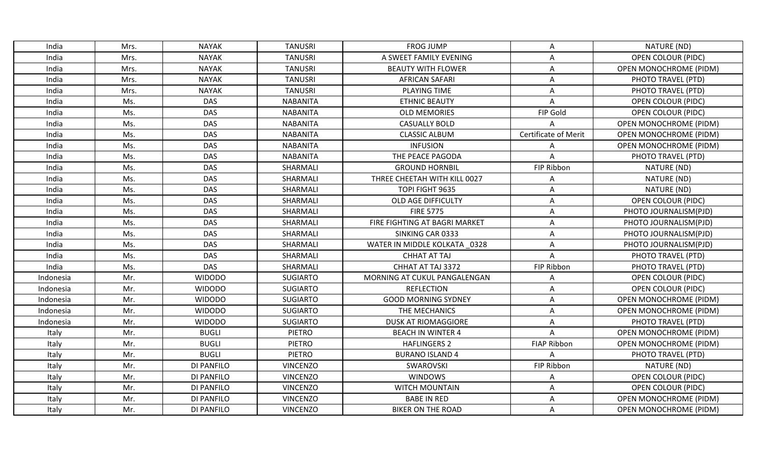| India     | Mrs. | <b>NAYAK</b>  | <b>TANUSRI</b>  | <b>FROG JUMP</b>              | Α                           | NATURE (ND)                   |
|-----------|------|---------------|-----------------|-------------------------------|-----------------------------|-------------------------------|
| India     | Mrs. | <b>NAYAK</b>  | <b>TANUSRI</b>  | A SWEET FAMILY EVENING        | A                           | <b>OPEN COLOUR (PIDC)</b>     |
| India     | Mrs. | <b>NAYAK</b>  | <b>TANUSRI</b>  | <b>BEAUTY WITH FLOWER</b>     | A                           | <b>OPEN MONOCHROME (PIDM)</b> |
| India     | Mrs. | <b>NAYAK</b>  | <b>TANUSRI</b>  | <b>AFRICAN SAFARI</b>         | A                           | PHOTO TRAVEL (PTD)            |
| India     | Mrs. | <b>NAYAK</b>  | <b>TANUSRI</b>  | PLAYING TIME                  | A                           | PHOTO TRAVEL (PTD)            |
| India     | Ms.  | <b>DAS</b>    | <b>NABANITA</b> | <b>ETHNIC BEAUTY</b>          | A                           | <b>OPEN COLOUR (PIDC)</b>     |
| India     | Ms.  | <b>DAS</b>    | <b>NABANITA</b> | <b>OLD MEMORIES</b>           | FIP Gold                    | <b>OPEN COLOUR (PIDC)</b>     |
| India     | Ms.  | <b>DAS</b>    | <b>NABANITA</b> | <b>CASUALLY BOLD</b>          | Λ                           | OPEN MONOCHROME (PIDM)        |
| India     | Ms.  | <b>DAS</b>    | <b>NABANITA</b> | <b>CLASSIC ALBUM</b>          | <b>Certificate of Merit</b> | <b>OPEN MONOCHROME (PIDM)</b> |
| India     | Ms.  | <b>DAS</b>    | <b>NABANITA</b> | <b>INFUSION</b>               | Α                           | <b>OPEN MONOCHROME (PIDM)</b> |
| India     | Ms.  | <b>DAS</b>    | <b>NABANITA</b> | THE PEACE PAGODA              | A                           | PHOTO TRAVEL (PTD)            |
| India     | Ms.  | <b>DAS</b>    | SHARMALI        | <b>GROUND HORNBIL</b>         | FIP Ribbon                  | NATURE (ND)                   |
| India     | Ms.  | <b>DAS</b>    | SHARMALI        | THREE CHEETAH WITH KILL 0027  | A                           | NATURE (ND)                   |
| India     | Ms.  | <b>DAS</b>    | SHARMALI        | TOPI FIGHT 9635               | A                           | NATURE (ND)                   |
| India     | Ms.  | <b>DAS</b>    | SHARMALI        | OLD AGE DIFFICULTY            | A                           | <b>OPEN COLOUR (PIDC)</b>     |
| India     | Ms.  | <b>DAS</b>    | SHARMALI        | <b>FIRE 5775</b>              | Α                           | PHOTO JOURNALISM(PJD)         |
| India     | Ms.  | <b>DAS</b>    | SHARMALI        | FIRE FIGHTING AT BAGRI MARKET | $\mathsf A$                 | PHOTO JOURNALISM(PJD)         |
| India     | Ms.  | <b>DAS</b>    | SHARMALI        | SINKING CAR 0333              | A                           | PHOTO JOURNALISM(PJD)         |
| India     | Ms.  | <b>DAS</b>    | SHARMALI        | WATER IN MIDDLE KOLKATA 0328  | Α                           | PHOTO JOURNALISM(PJD)         |
| India     | Ms.  | <b>DAS</b>    | SHARMALI        | <b>CHHAT AT TAJ</b>           | A                           | PHOTO TRAVEL (PTD)            |
| India     | Ms.  | DAS           | SHARMALI        | CHHAT AT TAJ 3372             | FIP Ribbon                  | PHOTO TRAVEL (PTD)            |
| Indonesia | Mr.  | <b>WIDODO</b> | <b>SUGIARTO</b> | MORNING AT CUKUL PANGALENGAN  | Α                           | <b>OPEN COLOUR (PIDC)</b>     |
| Indonesia | Mr.  | <b>WIDODO</b> | <b>SUGIARTO</b> | <b>REFLECTION</b>             | A                           | <b>OPEN COLOUR (PIDC)</b>     |
| Indonesia | Mr.  | <b>WIDODO</b> | <b>SUGIARTO</b> | <b>GOOD MORNING SYDNEY</b>    | A                           | <b>OPEN MONOCHROME (PIDM)</b> |
| Indonesia | Mr.  | <b>WIDODO</b> | <b>SUGIARTO</b> | THE MECHANICS                 | A                           | OPEN MONOCHROME (PIDM)        |
| Indonesia | Mr.  | <b>WIDODO</b> | <b>SUGIARTO</b> | <b>DUSK AT RIOMAGGIORE</b>    | A                           | PHOTO TRAVEL (PTD)            |
| Italy     | Mr.  | <b>BUGLI</b>  | PIETRO          | <b>BEACH IN WINTER 4</b>      | A                           | <b>OPEN MONOCHROME (PIDM)</b> |
| Italy     | Mr.  | <b>BUGLI</b>  | <b>PIETRO</b>   | <b>HAFLINGERS 2</b>           | <b>FIAP Ribbon</b>          | <b>OPEN MONOCHROME (PIDM)</b> |
| Italy     | Mr.  | <b>BUGLI</b>  | <b>PIETRO</b>   | <b>BURANO ISLAND 4</b>        | A                           | PHOTO TRAVEL (PTD)            |
| Italy     | Mr.  | DI PANFILO    | <b>VINCENZO</b> | SWAROVSKI                     | FIP Ribbon                  | NATURE (ND)                   |
| Italy     | Mr.  | DI PANFILO    | <b>VINCENZO</b> | <b>WINDOWS</b>                | Α                           | <b>OPEN COLOUR (PIDC)</b>     |
| Italy     | Mr.  | DI PANFILO    | <b>VINCENZO</b> | WITCH MOUNTAIN                | Α                           | <b>OPEN COLOUR (PIDC)</b>     |
| Italy     | Mr.  | DI PANFILO    | <b>VINCENZO</b> | <b>BABE IN RED</b>            | A                           | <b>OPEN MONOCHROME (PIDM)</b> |
| Italy     | Mr.  | DI PANFILO    | <b>VINCENZO</b> | <b>BIKER ON THE ROAD</b>      | Α                           | <b>OPEN MONOCHROME (PIDM)</b> |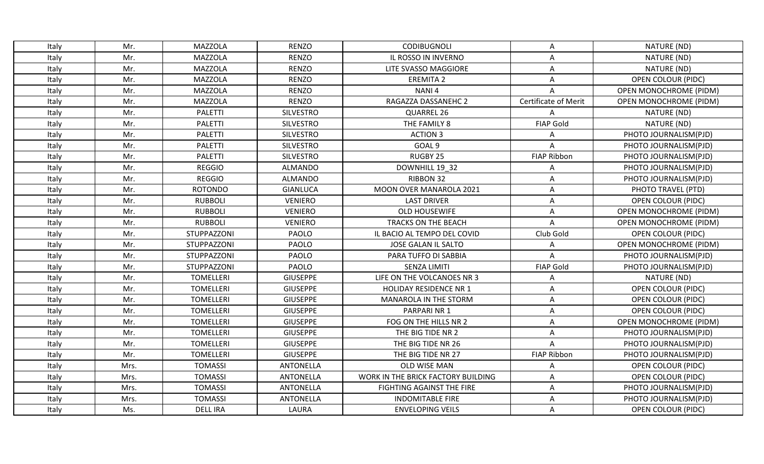| Italy | Mr.  | MAZZOLA          | <b>RENZO</b>     | <b>CODIBUGNOLI</b>                 | Α                    | NATURE (ND)                   |
|-------|------|------------------|------------------|------------------------------------|----------------------|-------------------------------|
| Italy | Mr.  | <b>MAZZOLA</b>   | <b>RENZO</b>     | IL ROSSO IN INVERNO                | A                    | NATURE (ND)                   |
| Italy | Mr.  | <b>MAZZOLA</b>   | <b>RENZO</b>     | LITE SVASSO MAGGIORE               | A                    | NATURE (ND)                   |
| Italy | Mr.  | <b>MAZZOLA</b>   | <b>RENZO</b>     | <b>EREMITA 2</b>                   | A                    | <b>OPEN COLOUR (PIDC)</b>     |
| Italy | Mr.  | <b>MAZZOLA</b>   | <b>RENZO</b>     | NANI <sub>4</sub>                  | A                    | <b>OPEN MONOCHROME (PIDM)</b> |
| Italy | Mr.  | <b>MAZZOLA</b>   | <b>RENZO</b>     | RAGAZZA DASSANEHC 2                | Certificate of Merit | <b>OPEN MONOCHROME (PIDM)</b> |
| Italy | Mr.  | <b>PALETTI</b>   | <b>SILVESTRO</b> | QUARREL 26                         | A                    | NATURE (ND)                   |
| Italy | Mr.  | <b>PALETTI</b>   | <b>SILVESTRO</b> | THE FAMILY 8                       | <b>FIAP Gold</b>     | NATURE (ND)                   |
| Italy | Mr.  | <b>PALETTI</b>   | <b>SILVESTRO</b> | <b>ACTION 3</b>                    | A                    | PHOTO JOURNALISM(PJD)         |
| Italy | Mr.  | PALETTI          | <b>SILVESTRO</b> | GOAL <sub>9</sub>                  | Α                    | PHOTO JOURNALISM(PJD)         |
| Italy | Mr.  | <b>PALETTI</b>   | <b>SILVESTRO</b> | RUGBY 25                           | <b>FIAP Ribbon</b>   | PHOTO JOURNALISM(PJD)         |
| Italy | Mr.  | <b>REGGIO</b>    | <b>ALMANDO</b>   | DOWNHILL 19 32                     | A                    | PHOTO JOURNALISM(PJD)         |
| Italy | Mr.  | <b>REGGIO</b>    | <b>ALMANDO</b>   | RIBBON 32                          | A                    | PHOTO JOURNALISM(PJD)         |
| Italy | Mr.  | <b>ROTONDO</b>   | <b>GIANLUCA</b>  | MOON OVER MANAROLA 2021            | A                    | PHOTO TRAVEL (PTD)            |
| Italy | Mr.  | <b>RUBBOLI</b>   | <b>VENIERO</b>   | <b>LAST DRIVER</b>                 | A                    | <b>OPEN COLOUR (PIDC)</b>     |
| Italy | Mr.  | <b>RUBBOLI</b>   | <b>VENIERO</b>   | <b>OLD HOUSEWIFE</b>               | Α                    | <b>OPEN MONOCHROME (PIDM)</b> |
| Italy | Mr.  | <b>RUBBOLI</b>   | <b>VENIERO</b>   | <b>TRACKS ON THE BEACH</b>         | Α                    | <b>OPEN MONOCHROME (PIDM)</b> |
| Italy | Mr.  | STUPPAZZONI      | PAOLO            | IL BACIO AL TEMPO DEL COVID        | Club Gold            | <b>OPEN COLOUR (PIDC)</b>     |
| Italy | Mr.  | STUPPAZZONI      | PAOLO            | <b>JOSE GALAN IL SALTO</b>         | A                    | <b>OPEN MONOCHROME (PIDM)</b> |
| Italy | Mr.  | STUPPAZZONI      | PAOLO            | PARA TUFFO DI SABBIA               | Α                    | PHOTO JOURNALISM(PJD)         |
| Italy | Mr.  | STUPPAZZONI      | PAOLO            | <b>SENZA LIMITI</b>                | <b>FIAP Gold</b>     | PHOTO JOURNALISM(PJD)         |
| Italy | Mr.  | <b>TOMELLERI</b> | <b>GIUSEPPE</b>  | LIFE ON THE VOLCANOES NR 3         | Α                    | NATURE (ND)                   |
| Italy | Mr.  | <b>TOMELLERI</b> | <b>GIUSEPPE</b>  | <b>HOLIDAY RESIDENCE NR 1</b>      | A                    | <b>OPEN COLOUR (PIDC)</b>     |
| Italy | Mr.  | <b>TOMELLERI</b> | <b>GIUSEPPE</b>  | MANAROLA IN THE STORM              | Α                    | <b>OPEN COLOUR (PIDC)</b>     |
| Italy | Mr.  | <b>TOMELLERI</b> | <b>GIUSEPPE</b>  | PARPARINR 1                        | A                    | <b>OPEN COLOUR (PIDC)</b>     |
| Italy | Mr.  | <b>TOMELLERI</b> | <b>GIUSEPPE</b>  | FOG ON THE HILLS NR 2              | Α                    | OPEN MONOCHROME (PIDM)        |
| Italy | Mr.  | <b>TOMELLERI</b> | <b>GIUSEPPE</b>  | THE BIG TIDE NR 2                  | Α                    | PHOTO JOURNALISM(PJD)         |
| Italy | Mr.  | <b>TOMELLERI</b> | <b>GIUSEPPE</b>  | THE BIG TIDE NR 26                 | A                    | PHOTO JOURNALISM(PJD)         |
| Italy | Mr.  | <b>TOMELLERI</b> | <b>GIUSEPPE</b>  | THE BIG TIDE NR 27                 | <b>FIAP Ribbon</b>   | PHOTO JOURNALISM(PJD)         |
| Italy | Mrs. | <b>TOMASSI</b>   | <b>ANTONELLA</b> | OLD WISE MAN                       | Α                    | <b>OPEN COLOUR (PIDC)</b>     |
| Italy | Mrs. | <b>TOMASSI</b>   | <b>ANTONELLA</b> | WORK IN THE BRICK FACTORY BUILDING | Α                    | <b>OPEN COLOUR (PIDC)</b>     |
| Italy | Mrs. | <b>TOMASSI</b>   | <b>ANTONELLA</b> | FIGHTING AGAINST THE FIRE          | Α                    | PHOTO JOURNALISM(PJD)         |
| Italy | Mrs. | <b>TOMASSI</b>   | <b>ANTONELLA</b> | <b>INDOMITABLE FIRE</b>            | A                    | PHOTO JOURNALISM(PJD)         |
| Italy | Ms.  | <b>DELL IRA</b>  | LAURA            | <b>ENVELOPING VEILS</b>            | Α                    | <b>OPEN COLOUR (PIDC)</b>     |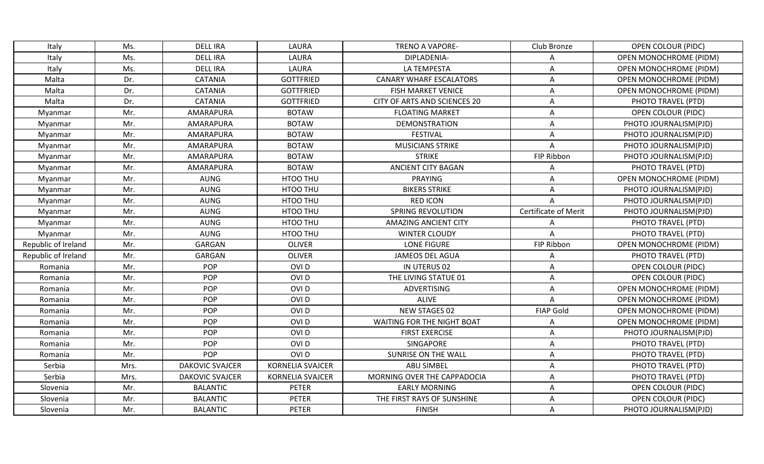| Italy               | Ms.  | <b>DELL IRA</b>        | LAURA                   | <b>TRENO A VAPORE-</b>            | Club Bronze                 | <b>OPEN COLOUR (PIDC)</b>     |
|---------------------|------|------------------------|-------------------------|-----------------------------------|-----------------------------|-------------------------------|
| Italy               | Ms.  | <b>DELL IRA</b>        | LAURA                   | DIPLADENIA-                       | A                           | OPEN MONOCHROME (PIDM)        |
| Italy               | Ms.  | <b>DELL IRA</b>        | LAURA                   | <b>LA TEMPESTA</b>                | Α                           | <b>OPEN MONOCHROME (PIDM)</b> |
| Malta               | Dr.  | <b>CATANIA</b>         | <b>GOTTFRIED</b>        | <b>CANARY WHARF ESCALATORS</b>    | Α                           | OPEN MONOCHROME (PIDM)        |
| Malta               | Dr.  | <b>CATANIA</b>         | <b>GOTTFRIED</b>        | <b>FISH MARKET VENICE</b>         | A                           | <b>OPEN MONOCHROME (PIDM)</b> |
| Malta               | Dr.  | <b>CATANIA</b>         | <b>GOTTFRIED</b>        | CITY OF ARTS AND SCIENCES 20      | Α                           | PHOTO TRAVEL (PTD)            |
| Myanmar             | Mr.  | AMARAPURA              | <b>BOTAW</b>            | <b>FLOATING MARKET</b>            | A                           | <b>OPEN COLOUR (PIDC)</b>     |
| Myanmar             | Mr.  | AMARAPURA              | <b>BOTAW</b>            | <b>DEMONSTRATION</b>              | Α                           | PHOTO JOURNALISM(PJD)         |
| Myanmar             | Mr.  | AMARAPURA              | <b>BOTAW</b>            | <b>FESTIVAL</b>                   | A                           | PHOTO JOURNALISM(PJD)         |
| Myanmar             | Mr.  | AMARAPURA              | <b>BOTAW</b>            | <b>MUSICIANS STRIKE</b>           | A                           | PHOTO JOURNALISM(PJD)         |
| Myanmar             | Mr.  | AMARAPURA              | <b>BOTAW</b>            | <b>STRIKE</b>                     | FIP Ribbon                  | PHOTO JOURNALISM(PJD)         |
| Myanmar             | Mr.  | AMARAPURA              | <b>BOTAW</b>            | <b>ANCIENT CITY BAGAN</b>         | A                           | PHOTO TRAVEL (PTD)            |
| Myanmar             | Mr.  | AUNG                   | HTOO THU                | <b>PRAYING</b>                    | A                           | <b>OPEN MONOCHROME (PIDM)</b> |
| Myanmar             | Mr.  | <b>AUNG</b>            | HTOO THU                | <b>BIKERS STRIKE</b>              | Α                           | PHOTO JOURNALISM(PJD)         |
| Myanmar             | Mr.  | <b>AUNG</b>            | HTOO THU                | <b>RED ICON</b>                   | $\boldsymbol{\mathsf{A}}$   | PHOTO JOURNALISM(PJD)         |
| Myanmar             | Mr.  | <b>AUNG</b>            | HTOO THU                | <b>SPRING REVOLUTION</b>          | <b>Certificate of Merit</b> | PHOTO JOURNALISM(PJD)         |
| Myanmar             | Mr.  | <b>AUNG</b>            | HTOO THU                | <b>AMAZING ANCIENT CITY</b>       | A                           | PHOTO TRAVEL (PTD)            |
| Myanmar             | Mr.  | <b>AUNG</b>            | HTOO THU                | <b>WINTER CLOUDY</b>              | A                           | PHOTO TRAVEL (PTD)            |
| Republic of Ireland | Mr.  | GARGAN                 | <b>OLIVER</b>           | <b>LONE FIGURE</b>                | FIP Ribbon                  | <b>OPEN MONOCHROME (PIDM)</b> |
| Republic of Ireland | Mr.  | <b>GARGAN</b>          | <b>OLIVER</b>           | <b>JAMEOS DEL AGUA</b>            | Α                           | PHOTO TRAVEL (PTD)            |
| Romania             | Mr.  | <b>POP</b>             | OVI <sub>D</sub>        | IN UTERUS 02                      | A                           | <b>OPEN COLOUR (PIDC)</b>     |
| Romania             | Mr.  | POP                    | OVI <sub>D</sub>        | THE LIVING STATUE 01              | A                           | <b>OPEN COLOUR (PIDC)</b>     |
| Romania             | Mr.  | POP                    | OVI <sub>D</sub>        | <b>ADVERTISING</b>                | A                           | <b>OPEN MONOCHROME (PIDM)</b> |
| Romania             | Mr.  | POP                    | OVI <sub>D</sub>        | <b>ALIVE</b>                      | A                           | <b>OPEN MONOCHROME (PIDM)</b> |
| Romania             | Mr.  | POP                    | OVI <sub>D</sub>        | NEW STAGES 02                     | <b>FIAP Gold</b>            | <b>OPEN MONOCHROME (PIDM)</b> |
| Romania             | Mr.  | POP                    | OVI <sub>D</sub>        | <b>WAITING FOR THE NIGHT BOAT</b> | Α                           | <b>OPEN MONOCHROME (PIDM)</b> |
| Romania             | Mr.  | POP                    | OVI <sub>D</sub>        | <b>FIRST EXERCISE</b>             | A                           | PHOTO JOURNALISM(PJD)         |
| Romania             | Mr.  | POP                    | OVI <sub>D</sub>        | SINGAPORE                         | A                           | PHOTO TRAVEL (PTD)            |
| Romania             | Mr.  | POP                    | OVI <sub>D</sub>        | SUNRISE ON THE WALL               | A                           | PHOTO TRAVEL (PTD)            |
| Serbia              | Mrs. | <b>DAKOVIC SVAJCER</b> | <b>KORNELIA SVAJCER</b> | <b>ABU SIMBEL</b>                 | Α                           | PHOTO TRAVEL (PTD)            |
| Serbia              | Mrs. | <b>DAKOVIC SVAJCER</b> | <b>KORNELIA SVAJCER</b> | MORNING OVER THE CAPPADOCIA       | A                           | PHOTO TRAVEL (PTD)            |
| Slovenia            | Mr.  | <b>BALANTIC</b>        | <b>PETER</b>            | <b>EARLY MORNING</b>              | Α                           | <b>OPEN COLOUR (PIDC)</b>     |
| Slovenia            | Mr.  | <b>BALANTIC</b>        | <b>PETER</b>            | THE FIRST RAYS OF SUNSHINE        | A                           | <b>OPEN COLOUR (PIDC)</b>     |
| Slovenia            | Mr.  | <b>BALANTIC</b>        | <b>PETER</b>            | <b>FINISH</b>                     | Α                           | PHOTO JOURNALISM(PJD)         |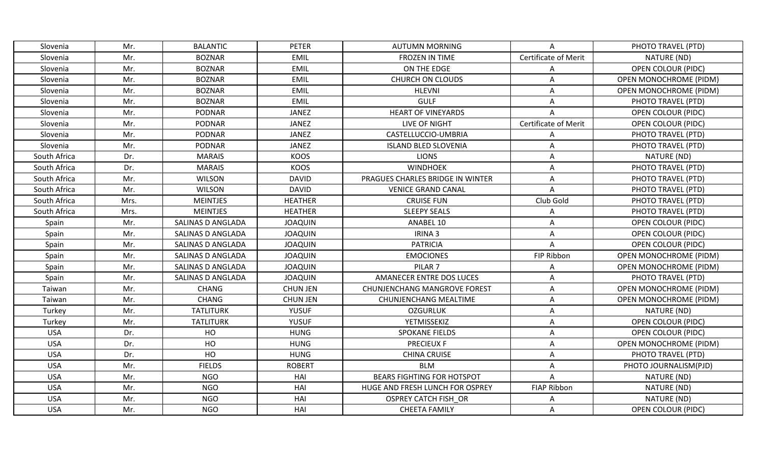| Slovenia     | Mr.  | <b>BALANTIC</b>   | <b>PETER</b>    | <b>AUTUMN MORNING</b>               | A                    | PHOTO TRAVEL (PTD)            |
|--------------|------|-------------------|-----------------|-------------------------------------|----------------------|-------------------------------|
| Slovenia     | Mr.  | <b>BOZNAR</b>     | <b>EMIL</b>     | <b>FROZEN IN TIME</b>               | Certificate of Merit | NATURE (ND)                   |
| Slovenia     | Mr.  | <b>BOZNAR</b>     | EMIL            | ON THE EDGE                         | Α                    | <b>OPEN COLOUR (PIDC)</b>     |
| Slovenia     | Mr.  | <b>BOZNAR</b>     | <b>EMIL</b>     | <b>CHURCH ON CLOUDS</b>             | A                    | <b>OPEN MONOCHROME (PIDM)</b> |
| Slovenia     | Mr.  | <b>BOZNAR</b>     | EMIL            | <b>HLEVNI</b>                       | Α                    | <b>OPEN MONOCHROME (PIDM)</b> |
| Slovenia     | Mr.  | <b>BOZNAR</b>     | <b>EMIL</b>     | <b>GULF</b>                         | Α                    | PHOTO TRAVEL (PTD)            |
| Slovenia     | Mr.  | <b>PODNAR</b>     | <b>JANEZ</b>    | <b>HEART OF VINEYARDS</b>           | A                    | <b>OPEN COLOUR (PIDC)</b>     |
| Slovenia     | Mr.  | <b>PODNAR</b>     | <b>JANEZ</b>    | LIVE OF NIGHT                       | Certificate of Merit | OPEN COLOUR (PIDC)            |
| Slovenia     | Mr.  | <b>PODNAR</b>     | JANEZ           | CASTELLUCCIO-UMBRIA                 | A                    | PHOTO TRAVEL (PTD)            |
| Slovenia     | Mr.  | <b>PODNAR</b>     | JANEZ           | <b>ISLAND BLED SLOVENIA</b>         | A                    | PHOTO TRAVEL (PTD)            |
| South Africa | Dr.  | <b>MARAIS</b>     | KOOS            | <b>LIONS</b>                        | Α                    | NATURE (ND)                   |
| South Africa | Dr.  | <b>MARAIS</b>     | KOOS            | <b>WINDHOEK</b>                     | Α                    | PHOTO TRAVEL (PTD)            |
| South Africa | Mr.  | <b>WILSON</b>     | <b>DAVID</b>    | PRAGUES CHARLES BRIDGE IN WINTER    | A                    | PHOTO TRAVEL (PTD)            |
| South Africa | Mr.  | <b>WILSON</b>     | <b>DAVID</b>    | <b>VENICE GRAND CANAL</b>           | Α                    | PHOTO TRAVEL (PTD)            |
| South Africa | Mrs. | <b>MEINTJES</b>   | <b>HEATHER</b>  | <b>CRUISE FUN</b>                   | Club Gold            | PHOTO TRAVEL (PTD)            |
| South Africa | Mrs. | <b>MEINTJES</b>   | <b>HEATHER</b>  | <b>SLEEPY SEALS</b>                 | Α                    | PHOTO TRAVEL (PTD)            |
| Spain        | Mr.  | SALINAS D ANGLADA | <b>JOAQUIN</b>  | ANABEL 10                           | A                    | <b>OPEN COLOUR (PIDC)</b>     |
| Spain        | Mr.  | SALINAS D ANGLADA | <b>JOAQUIN</b>  | IRINA <sub>3</sub>                  | Α                    | <b>OPEN COLOUR (PIDC)</b>     |
| Spain        | Mr.  | SALINAS D ANGLADA | <b>JOAQUIN</b>  | <b>PATRICIA</b>                     | Α                    | <b>OPEN COLOUR (PIDC)</b>     |
| Spain        | Mr.  | SALINAS D ANGLADA | <b>JOAQUIN</b>  | <b>EMOCIONES</b>                    | FIP Ribbon           | <b>OPEN MONOCHROME (PIDM)</b> |
| Spain        | Mr.  | SALINAS D ANGLADA | <b>JOAQUIN</b>  | PILAR <sub>7</sub>                  | Α                    | <b>OPEN MONOCHROME (PIDM)</b> |
| Spain        | Mr.  | SALINAS D ANGLADA | <b>JOAQUIN</b>  | <b>AMANECER ENTRE DOS LUCES</b>     | Α                    | PHOTO TRAVEL (PTD)            |
| Taiwan       | Mr.  | <b>CHANG</b>      | <b>CHUN JEN</b> | <b>CHUNJENCHANG MANGROVE FOREST</b> | Α                    | <b>OPEN MONOCHROME (PIDM)</b> |
| Taiwan       | Mr.  | <b>CHANG</b>      | <b>CHUN JEN</b> | CHUNJENCHANG MEALTIME               | Α                    | <b>OPEN MONOCHROME (PIDM)</b> |
| Turkey       | Mr.  | <b>TATLITURK</b>  | <b>YUSUF</b>    | <b>OZGURLUK</b>                     | Α                    | NATURE (ND)                   |
| Turkey       | Mr.  | <b>TATLITURK</b>  | <b>YUSUF</b>    | YETMISSEKIZ                         | Α                    | <b>OPEN COLOUR (PIDC)</b>     |
| <b>USA</b>   | Dr.  | HO                | <b>HUNG</b>     | <b>SPOKANE FIELDS</b>               | Α                    | <b>OPEN COLOUR (PIDC)</b>     |
| <b>USA</b>   | Dr.  | HO                | <b>HUNG</b>     | <b>PRECIEUX F</b>                   | A                    | <b>OPEN MONOCHROME (PIDM)</b> |
| <b>USA</b>   | Dr.  | HO                | <b>HUNG</b>     | <b>CHINA CRUISE</b>                 | Α                    | PHOTO TRAVEL (PTD)            |
| <b>USA</b>   | Mr.  | <b>FIELDS</b>     | <b>ROBERT</b>   | <b>BLM</b>                          | Α                    | PHOTO JOURNALISM(PJD)         |
| <b>USA</b>   | Mr.  | <b>NGO</b>        | HAI             | <b>BEARS FIGHTING FOR HOTSPOT</b>   | A                    | NATURE (ND)                   |
| <b>USA</b>   | Mr.  | <b>NGO</b>        | HAI             | HUGE AND FRESH LUNCH FOR OSPREY     | <b>FIAP Ribbon</b>   | NATURE (ND)                   |
| <b>USA</b>   | Mr.  | <b>NGO</b>        | HAI             | <b>OSPREY CATCH FISH OR</b>         | Α                    | NATURE (ND)                   |
| <b>USA</b>   | Mr.  | <b>NGO</b>        | HAI             | <b>CHEETA FAMILY</b>                | A                    | OPEN COLOUR (PIDC)            |